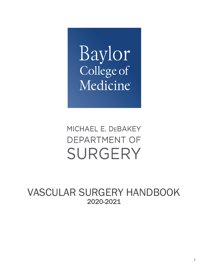Baylor College of Medicine®

MICHAEL E. DEBAKEY DEPARTMENT OF SURGERY

VASCULAR SURGERY HANDBOOK 2020-2021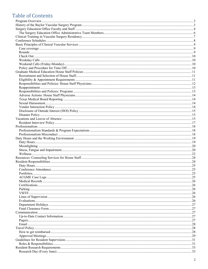# **Table of Contents**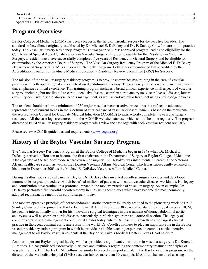# <span id="page-2-0"></span>**Program Overview**

Baylor College of Medicine (BCM) has been a leader in the field of vascular surgery for the past five decades. The standards of excellence originally established by Dr. Michael E. DeBakey and Dr. E. Stanley Crawford are still in practice today. The Vascular Surgery Residency Program is a two-year ACGME approved program leading to eligibility for the Certificate of Special Added Qualifications in Vascular Surgery. In order to qualify for the Residency in Vascular Surgery, a resident must have successfully completed five years of Residency in General Surgery and be eligible for examination by the American Board of Surgery. The Vascular Surgery Residency Program of the Michael E. DeBakey Department of Surgery at BCM is a two-year (24 month) program. Both years are continued full accredited by the Accreditation Council for Graduate Medical Education - Residency Review Committee (RRC) for Surgery.

The mission of the vascular surgery residency program is to provide comprehensive training in the care of vascular patients with both open surgical and catheter-based endoluminal therapy. The residency trainees work in an environment that emphasizes clinical excellence. This training program includes a broad clinical experience in all aspects of vascular surgery, including but not limited to carotid occlusive disease, complex aortic aneurysm, visceral vessel disease, lower extremity occlusive disease, dialysis access management, as well as endovascular treatment using cutting-edge devices.

The resident should perform a minimum of 250 major vascular reconstructive procedures that reflect an adequate representation of current trends in the spectrum of surgical care of vascular diseases, which is based on the requirement by the Accreditation Council for Graduate Medical Education (ACGME) to satisfactorily complete the vascular surgery residency. All the case logs are entered into the ACGME website database, which should be done regularly. The program director of BCM vascular surgery residency program will review the case logs with each vascular resident regularly.

Please review ACGME guidelines and requirements [\(www.acgme.org\)](http://www.acgme.org/).

# <span id="page-2-1"></span>**History of the Baylor Vascular Surgery Program**

The Vascular Surgery Residency Program at the Baylor College of Medicine began in 1948 when Dr. Michael E. DeBakey arrived in Houston to become the first chairman in the Department of Surgery at Baylor College of Medicine. Also regarded as the father of modern cardiovascular surgery, Dr. DeBakey was instrumental in creating the Veterans Affairs health care system as well as the Houston Veterans Affairs Medical Center which was subsequently renamed in his honor in December 2003 as the Michael E. DeBakey Veterans Affairs Medical Center.

During his illustrious surgical career at Baylor, Dr. DeBakey has invented countless surgical devices and developed innumerable surgical procedures which benefited millions of patients with cardiovascular diseases worldwide. His legacy and contribution have resulted in a profound impact in the modern practice of vascular surgery. As an example, Dr. DeBakey performed first carotid endarterectomy in 1959 using techniques which have become the most commonly adopted reconstructive method in carotid surgery today.

The modern operative principle of thoracoabdominal aortic aneurysm is largely credited to the pioneering work of Dr. E. Stanley Crawford who joined the Baylor faculty in 1954. In his ensuing 38 years of outstanding surgical career at BCM, he became internationally known for his innovative surgical techniques in the treatment of thoracoabdominal aortic aneurysm as well as complex aortic diseases, particularly in Marfan syndrome and aortic dissection. The legacy of complex aortic disease management continues at Baylor today, where Dr. Joseph S. Coselli has the largest clinical practice in thoracoabdominal aortic aneurysm in the world. Dr. Coselli continues to play an important role in the Baylor vascular residency training program in which he provides valuable teaching experience in complex aortic operative management to all Baylor vascular residents at the Baylor St. Luke's Medical Center / Texas Heart Institute.

Another important Baylor surgical faculty who has provided a significant contribution in vascular surgery is Dr. Kenneth L. Mattox. He has published extensively in articles and textbooks regarding the contemporary treatment principles of vascular trauma. Dr. Charles H. McCollum has similarly played an important role in the Baylor vascular program. As the director of the Methodist Hospital (TMH) vascular lab for more than 30 years, Dr. McCollum has instilled a strong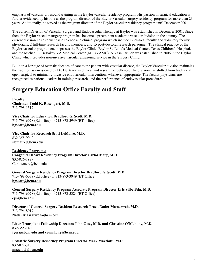emphasis of vascular ultrasound training in the Baylor vascular residency program. His passion in surgical education is further evidenced by his role as the program director of the Baylor Vascular surgery residency program for more than 23 years. Additionally, he served as the program director of the Baylor vascular residency program until December 2001.

The current Division of Vascular Surgery and Endovascular Therapy at Baylor was established in December 2001. Since then, the Baylor vascular surgery program has become a preeminent academic vascular division in the country. The current division has a robust basic science and clinical program which include 12 clinical faculty and voluntary faculty physicians, 2 full-time research faculty members, and 15 post-doctoral research personnel. The clinical practice of the Baylor vascular program encompasses the Baylor Clinic, Baylor St. Luke's Medical Center, Texas Children's Hospital, and the Michael E. DeBakey VA Medical Center (MEDVAMC). A Vascular Lab was established in 2006 in the Baylor Clinic which provides non-invasive vascular ultrasound service in the Surgery Clinic.

Built on a heritage of over six decades of care to the patient with vascular disease, the Baylor Vascular division maintains the tradition as envisioned by Dr. DeBakey in clinical and research excellence. The division has shifted from traditional open surgical to minimally-invasive endovascular interventions whenever appropriate. The faculty physicians are recognized as national leaders in training, research, and the performance of endovascular procedures.

# <span id="page-3-0"></span>**Surgery Education Office Faculty and Staff**

**Faculty: Chairman Todd K. Rosengart, M.D.** 713-798-1317

**Vice Chair for Education Bradford G. Scott, M.D.**  713-798-6078 (Ed office) or 713-873-3949 (BT office) **[bgscott@bcm.edu](mailto:bgscott@bcm.edu)**

**Vice Chair for Research Scott LeMaire, M.D.** 832-355-9942 **[slemaire@bcm.edu](mailto:slemaire@bcm.edu)** 

**Residency Programs: Congenital Heart Residency Program Director Carlos Mery, M.D.** 832-826-1929 [Carlos.mery@bcm.edu](mailto:Carlos.mery@bcm.edu)

**General Surgery Residency Program Director Bradford G. Scott, M.D.**  713-798-6078 (Ed office) or 713-873-3949 (BT Office) **[bgscott@bcm.edu](mailto:bgscott@bcm.edu)**

**General Surgery Residency Program Associate Program Director Eric Silberfein, M.D.**  713-798-6078 (Ed office) or 713-873-5324 (BT Office) **[ejs@bcm.edu](mailto:ejs@bcm.edu)**

**Director of General Surgery Resident Research Track Nader Massarweh, M.D.** 713-794-8017 **Nader.Massarweh@bcm.edu**

**Liver Transplant Fellowship Directors John Goss, M.D. and Christine O'Mahony, M.D.** 832-355-1400 **[jgoss@bcm.edu](mailto:jgoss@bcm.edu) an[d comahony@bcm.edu](mailto:comahony@bcm.edu)**

**Pediatric Surgery Residency Program Director Mark Mazziotti, M.D.** 832-822-3135 **[mazziott@bcm.edu](mailto:mazziott@bcm.edu)**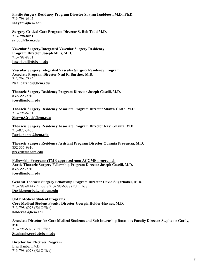**Plastic Surgery Residency Program Director Shayan Izaddoost, M.D., Ph.D.** 713-798-6305 **[shayani@bcm.edu](mailto:shayani@bcm.edu)**

**Surgery Critical Care Program Director S. Rob Todd M.D. 713-798-8051 [srtodd@bcm.edu](mailto:srtodd@bcm.edu)**

**Vascular Surgery/Integrated Vascular Surgery Residency Program Director Joseph Mills, M.D.** 713-798-8831 **[joseph.mills@bcm.edu](mailto:joseph.mills@bcm.edu)**

**Vascular Surgery Integrated Vascular Surgery Residency Program Associate Program Director Neal R. Barshes, M.D.**  713-794-7862 **[Neal.barshes@bcm.edu](mailto:Neal.barshes@bcm.edu)**

**Thoracic Surgery Residency Program Director Joseph Coselli, M.D.** 832-355-9910 **[jcoselli@bcm.edu](mailto:jcoselli@bcm.edu)**

**Thoracic Surgery Residency Associate Program Director Shawn Groth, M.D.** 713-798-6281 **[Shawn.Groth@bcm.edu](mailto:Shawn.Groth@bcm.edu)**

**Thoracic Surgery Residency Associate Program Director Ravi Ghanta, M.D.** 713-873-3435 **[Ravi.ghanta@bcm.edu](mailto:Ravi.ghanta@bcm.edu)**

**Thoracic Surgery Residency Assistant Program Director Ourania Preventza, M.D.** 832-355-9910 **[preventz@bcm.edu](mailto:preventz@bcm.edu)**

**Fellowship Programs (TMB approved /non-ACGME programs): Aortic Thoracic Surgery Fellowship Program Director Joseph Coselli, M.D.** 832-355-9910 **[jcoselli@bcm.edu](mailto:jcoselli@bcm.edu)**

**General Thoracic Surgery Fellowship Program Director David Sugarbaker, M.D.** 713-798-9144 (Office) / 713-798-6078 (Ed Office) **[David.sugarbaker@bcm.edu](mailto:David.sugarbaker@bcm.edu)**

**UME Medical Student Programs Core Medical Student Faculty Director Georgia Holder-Haynes, M.D.** 713-798-6078 (Ed Office) **[holderha@bcm.edu](mailto:holderha@bcm.edu)**

**Associate Director for Core Medical Students and Sub Internship Rotations Faculty Director Stephanie Gordy, MD** 713-798-6078 (Ed Office) **[Stephanie.gordy@bcm.edu](mailto:Stephanie.gordy@bcm.edu)**

**Director for Electives Program** Lisa Haubert, MD 713-798-6078 (Ed Office)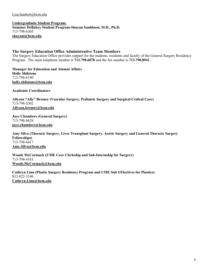#### [Lisa.haubert@bcm.edu](mailto:Lisa.haubert@bcm.edu)

**Undergraduate Student Program: Summer DeBakey Student Program-Shayan Izaddoost, M.D., Ph.D.** 713-798-6305 **[shayani@bcm.edu](mailto:shayani@bcm.edu)**

#### <span id="page-5-0"></span>**The Surgery Education Office Administrative Team Members**

The Surgery Education Office provides support for the students, residents and faculty of the General Surgery Residency Program. The main telephone number is **713.798.6078** and the fax number is **713.798.8941**.

**Manager for Education and Alumni Affairs Holly Shilstone**  713-798-6190 **holly.shilstone@bcm.edu**

**Academic Coordinators** 

**Allyson "Ally" Bremer (Vascular Surgery, Pediatric Surgery and Surgical Critical Care)** 713-798-5302 **[Allyson.bremer@bcm.edu](mailto:Allyson.bremer@bcm.edu)**

**Jaye Chambers (General Surgery)** 713-798-8629 **[jaye.chambers@bcm.edu](mailto:jaye.chambers@bcm.edu)**

**Amy Silva (Thoracic Surgery, Liver Transplant Surgery, Aortic Surgery and General Thoracic Surgery Fellowships)** 713-798-6417 **[Amy.Silva@bcm.edu](mailto:Amy.Silva@bcm.edu)**

**Woods McCormack (UME Core Clerkship and Sub-Internship for Surgery)** 713-798-4163 **[Woods.McCormack@bcm.edu](mailto:Woods.McCormack@bcm.edu)**

**Cathryn Linn (Plastic Surgery Residency Program and UME Sub I/Electives for Plastics)** 832-822-3140 **[Cathryn.Linn@bcm.edu](mailto:Cathryn.Linn@bcm.edu)**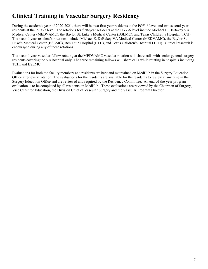# <span id="page-6-0"></span>**Clinical Training in Vascular Surgery Residency**

During the academic year of 2020-2021, there will be two first-year residents at the PGY-6 level and two second-year residents at the PGY-7 level. The rotations for first-year residents at the PGY-6 level include Michael E. DeBakey VA Medical Center (MEDVAMC), the Baylor St. Luke's Medical Center (BSLMC), and Texas Children's Hospital (TCH). The second-year resident's rotations include: Michael E. DeBakey VA Medical Center (MEDVAMC), the Baylor St. Luke's Medical Center (BSLMC), Ben Taub Hospital (BTH), and Texas Children's Hospital (TCH). Clinical research is encouraged during any of these rotations.

The second-year vascular fellow rotating at the MEDVAMC vascular rotation will share calls with senior general surgery residents covering the VA hospital only. The three remaining fellows will share calls while rotating in hospitals including TCH, and BSLMC.

Evaluations for both the faculty members and residents are kept and maintained on MedHub in the Surgery Education Office after every rotation. The evaluations for the residents are available for the residents to review at any time in the Surgery Education Office and are reviewed and required by the Residency Committee. An end-of-the-year program evaluation is to be completed by all residents on MedHub. These evaluations are reviewed by the Chairman of Surgery, Vice Chair for Education, the Division Chief of Vascular Surgery and the Vascular Program Director.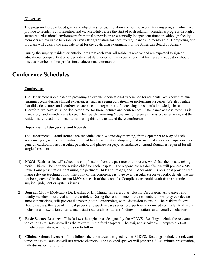#### **Objectives**

The program has developed goals and objectives for each rotation and for the overall training program which are provide to residents at orientation and via MedHub before the start of each rotation. Residents progress through a structured educational environment from total supervision to essentially independent function, although faculty members are available to residents even after graduation for continued guidance and mentorship. Completing our program will qualify the graduate to sit for the qualifying examination of the American Board of Surgery.

During the surgery resident orientation program each year, all residents receive and are expected to sign an educational compact that provides a detailed description of the expectations that learners and educators should meet as members of our professional educational community.

# <span id="page-7-0"></span>**Conference Schedules**

#### **Conferences**

The Department is dedicated to providing an excellent educational experience for residents. We know that much learning occurs during clinical experiences, such as seeing outpatients or performing surgeries. We also realize that didactic lectures and conferences are also an integral part of increasing a resident's knowledge base. Therefore, we have set aside dedicated time for these lectures and conferences. Attendance at these meetings is mandatory, and attendance is taken. The Tuesday morning 6:30-8 am conference time is protected time, and the resident is relieved of clinical duties during this time to attend these conferences.

#### **Department of Surgery Grand Rounds**

The Departmental Grand Rounds are scheduled each Wednesday morning, from September to May of each academic year, with a combination of local faculty and outstanding regional or national speakers. Topics include general, cardiothoracic, vascular, pediatric, and plastic surgery. Attendance at Grand Rounds is required for all surgical residents.

- 1) **M&M** Each service will select one complication from the past month to present, which has the most teaching merit.  This will be up to the service chief for each hospital.  The responsible resident/fellow will prepare a MS PowerPoint presentation, containing the pertinent H&P and images, and 1 paper only (2 slides) that provides the major relevant teaching point.  The point of this conference is to go over vascular surgery-specific details that are not being covered in the current M&M's at each of the hospitals. Complications could result from anatomic, surgical, judgment or systems issues.
- 2) **Journal Club** – Moderators Dr. Barshes or Dr. Chung will select 3 articles for Discussion.  All trainees and faculty members must read all of the articles.  During the session, one of the residents/fellows (they can decide among themselves) will present the paper (not in PowerPoint), with Discussion to ensue.  The resident/fellow should discuss: the type of clinical paper (retrospective case series, prospective randomized controlled trial, etc.), inclusion and exclusion criteria, main statistical analysis, salient findings, limitations and overall conclusions.
- 3) **Basic Science Lectures** –This follows the topic areas designed by the APDVS.  Readings include the relevant topics in Up to Date, as well as the relevant Rutherford chapters.  The assigned speaker will prepare a 30-40 minute presentation, with discussion to follow.
- 4) **Clinical Science Lectures** This follows the topic areas designed by the APDVS.  Readings include the relevant topics in Up to Date, as well Rutherford chapters.  The assigned speaker will prepare a 30-40 minute presentation, with discussion to follow.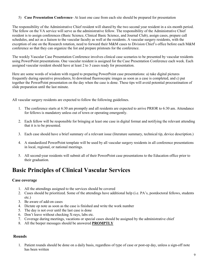#### 5) **Case Presentation Conference**- At least one case from each site should be prepared for presentation

The responsibility of the Administrative Chief resident will shared by the two second year resident in a six-month period. The fellow on the VA service will serve as the administrative fellow. The responsibility of the Administrative Chief resident is to assign conferences (Basic Science, Clinical Basic Science, and Journal Club), assign cases, prepare call schedules, and act as a liaison to the vascular faculty as well at the residents. A vascular surgery residents, with the exception of one on the Research rotation, need to forward their M&M cases to Division Chief's office before each M&M conference so that they can organize the list and prepare printouts for the conference.

The weekly Vascular Case Presentation Conference involves clinical case scenarios to be presented by vascular residents using PowerPoint presentations. One vascular resident is assigned for the Case Presentation Conference each week. Each assigned vascular resident should have at least 2 to 3 cases ready for presentation.

Here are some words of wisdom with regard to preparing PowerPoint case presentations: a) take digital pictures frequently during operative procedures, b) download fluoroscopic images as soon as a case is completed, and c) put together the PowerPoint presentation on the day when the case is done. These tips will avoid potential procrastination of slide preparation until the last minute.

All vascular surgery residents are expected to follow the following guidelines.

- 1. The conference starts at 6:30 am promptly and all residents are expected to arrive PRIOR to 6:30 am. Attendance for fellows is mandatory unless out of town or operating emergently.
- 2. Each fellow will be responsible for bringing at least one case in digital format and notifying the relevant attending that it is to be presented.
- 3. Each case should have a brief summary of a relevant issue (literature summary, technical tip, device description.)
- 4. A standardized PowerPoint template will be used by all vascular surgery residents in all conference presentations in local, regional, or national meetings.
- 5. All second-year residents will submit all of their PowerPoint case presentations to the Education office prior to their graduation.

# <span id="page-8-0"></span>**Basic Principles of Clinical Vascular Services**

## <span id="page-8-1"></span>**Case coverage**

- 1. All the attendings assigned to the services should be covered
- 2. Cases should be prioritized. Some of the attendings have additional help (i.e. PA's, postdoctoral fellows, students etc.)
- 3. Be aware of add-on cases
- 4. Dictate op note as soon as the case is finished and write the work number
- 5. The day is not over until the last case is done
- 6. Don't leave without checking X-rays, labs etc.
- 7. Coverage during meetings, vacations or special cases should be assigned by the administrative chief
- 8. All the beeper messages should be answered **PROMPTLY**

## <span id="page-8-2"></span>**Rounds**

1. Patient rounds should be done on a daily basis, regardless of type of case or post-op day, unless a sign-off note has been written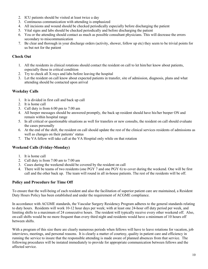- 2. ICU patients should be visited at least twice a day
- 3. Continuous communication with attending is emphasized
- 4. All incisions and wound should be checked periodically especially before discharging the patient
- 5. Vital signs and labs should be checked periodically and before discharging the patient
- 6. You or the attending should contact as much as possible consultant physicians. This will decrease the errors secondary to miscommunication
- 7. Be clear and thorough in your discharge orders (activity, shower, follow up etc) they seem to be trivial points for us but not for the patient

## <span id="page-9-0"></span>**Check Out**

- 1. All the residents in clinical rotations should contact the resident on call to let him/her know about patients, especially those in critical condition
- 2. Try to check all X-rays and labs before leaving the hospital
- 3. Let the resident on call know about expected patients in transfer, site of admission, diagnosis, plans and what attending should be contacted upon arrival

## <span id="page-9-1"></span>**Weekday Calls**

- 1. It is divided in first call and back up call
- 2. It is home call
- 3. Call duty is from 6:00 pm to 7:00 am
- 4. All beeper messages should be answered promptly, the back up resident should have his/her beeper ON and remain within hospital range
- 5. In all critical or questionable situations as well for transfers or new consults, the resident on call should evaluate the cases personally
- 6. At the end of the shift, the resident on call should update the rest of the clinical services residents of admissions as well as changes on their patients' status
- 7. The VA fellow will take call at the VA Hospital only while on that rotation

## <span id="page-9-2"></span>**Weekend Calls (Friday-Monday)**

- 1. It is home call
- 2. Call duty is from 7:00 am to 7:00 am
- 3. Cases during the weekend should be covered by the resident on call
- 4. There will be teams of two residents (one PGY 7 and one PGY 6) to cover during the weekend. One will be first call and the other back up. The team will round in all in-house patients. The rest of the residents will be off.

## <span id="page-9-3"></span>**Policy and Procedure for Time Off**

To ensure that the well-being of each resident and also the facilitation of superior patient care are maintained, a Resident Duty Hours Policy has been established and under the requirement of ACGME compliance.

In accordance with ACGME standards, the Vascular Surgery Residency Program adheres to the general standards relating to duty hours. Residents will work 10-12 hour days per week; with at least one 24-hour off duty period per week, and limiting shifts to a maximum of 24 consecutive hours. The resident will typically receive every other weekend off. Also, on-call shifts would be no more frequent than every third night and residents would have a minimum of 10 hours off between shifts.

With a program of this size there are clearly numerous periods when fellows will have to leave rotations for vacation, job interviews, meetings, and personal reasons. It is clearly a matter of courtesy, quality in patient care and efficiency in running the service to insure that the responsible attending is made aware of planned absences from that service. The following procedures will be instated immediately to provide for appropriate communication between fellows and the affected service.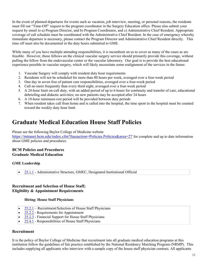In the event of planned departures for events such as vacation, job interview, meeting, or personal reasons, the residents must fill out "Time-Off" request to the program coordinator in the Surgery Education office. Please also submit your request by email to a) Program Director, and b) Program Coordinator, and c) Administrative Chief Resident. Appropriate coverage of call schedule must be coordinated with the Administrative Chief Resident. In the case of emergency whereby immediate departure is necessary, please contact the Program Director and Administrative Chief Resident directly. This time off must also be documented in the duty hours submitted to GME.

While many of you have multiple attending responsibilities, it is incumbent on us to cover as many of the cases as are feasible. However, those fellows on the clinical vascular surgery service should primarily provide this coverage, without pulling the fellow from the endovascular center or the vascular laboratory. Our goal is to provide the best educational experience possible in vascular surgery, which will likely necessitate some realignment of the services in the future.

- 1. Vascular Surgery will comply with resident duty hour requirements
- 2. Residents will not be scheduled for more than 80 hours per week, averaged over a four-week period
- 3. One day in seven free of patient care responsibilities, averaged over a four-week period
- 4. Call no more frequently than every third night, averaged over a four-week period
- 5. A 24-hour limit on-call duty, with an added period of up to 6 hours for continuity and transfer of care, educational debriefing and didactic activities; no new patients may be accepted after 24 hours
- 6. A 10-hour minimum rest period will be provided between duty periods
- 7. When resident takes call from home and is called into the hospital, the time spent in the hospital must be counted toward the weekly duty hour limit

# <span id="page-10-0"></span>**Graduate Medical Education House Staff Policies**

Please see the following Baylor College of Medicine website

<https://intranet.bcm.edu/index.cfm?fuseaction=Policies.Policies&area=27> for complete and up to date information about GME policies and procedures.

## **BCM Policies and Procedures Graduate Medical Education**

#### **GME Leadership**

• [25.1.1](http://intranet.bcm.edu/index.cfm?fuseaction=Policies.Display_Policy&Policy_Number=25.1.1) - Administrative Structure, GMEC, Designated Institutional Official

#### <span id="page-10-2"></span><span id="page-10-1"></span>**Recruitment and Selection of House Staff; Eligibility & Appointment Requirements**

#### **Hiring: House Staff Physicians**

- 25.2.1 Recruitment/Selection of House Staff Physicians
- [25.2.2](http://intranet.bcm.edu/index.cfm?fuseaction=Policies.Display_Policy&Policy_Number=25.2.3) Requirements for Appointment
- [25.2.3](http://intranet.bcm.edu/index.cfm?fuseaction=Policies.Display_Policy&Policy_Number=25.2.1) Financial Support for House Staff Physicians
- [25.4.1](http://intranet.bcm.edu/index.cfm?fuseaction=Policies.Display_Policy&Policy_Number=25.2.4) Responsibilities of House Staff Physicians

## **Recruitment**

It is the policy of Baylor College of Medicine that recruitment into all graduate medical education programs at this institution follow the guidelines of fair practice established by the National Residency Matching Program (NRMP). This includes supplying all applicants who interview with a sample copy of the house staff physician contract. All applicants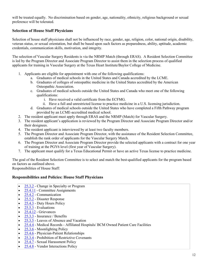will be treated equally. No discrimination based on gender, age, nationality, ethnicity, religious background or sexual preference will be tolerated.

## **Selection of House Staff Physicians**

Selection of house staff physicians shall not be influenced by race, gender, age, religion, color, national origin, disability, veteran status, or sexual orientation, but shall be based upon such factors as preparedness, ability, aptitude, academic credentials, communication skills, motivation, and integrity.

The selection of Vascular Surgery Residents is via the NRMP Match (through ERAS). A Resident Selection Committee is led by the Program Director and Associate Program Director to assist them in the selection process of qualified applicants for training in Vascular Surgery at the Texas Heart Institute/Baylor College of Medicine.

- 1. Applicants are eligible for appointment with one of the following qualifications:
	- a. Graduates of medical schools in the United States and Canada accredited by the LCME.
	- b. Graduates of colleges of osteopathic medicine in the United States accredited by the American Osteopathic Association.
	- c. Graduates of medical schools outside the United States and Canada who meet one of the following qualifications:
		- i. Have received a valid certificate from the ECFMG.
		- ii. Have a full and unrestricted license to practice medicine in a U.S. licensing jurisdiction.
	- d. Graduates of medical schools outside the United States who have completed a Fifth Pathway program provided by an LCME-accredited medical school.
- 2. The resident applicant must apply through ERAS and the NRMP (Match) for Vascular Surgery.
- 3. The resident applicant's application is reviewed by the Program Director and Associate Program Director and/or their designees.
- 4. The resident applicant is interviewed by at least two faculty members.
- 5. The Program Director and Associate Program Director, with the assistance of the Resident Selection Committee, establish the rank order of applicants for the Vascular Surgery Match.
- 6. The Program Director and Associate Program Director provide the selected applicants with a contract for one year of training at the PGY6 level (first year of Vascular Surgery).
- 7. The applicant must qualify for a Texas Educational Permit or have an active Texas license to practice medicine.

The goal of the Resident Selection Committee is to select and match the best-qualified applicants for the program based on factors as outlined above.

Responsibilities of House Staff:

#### <span id="page-11-0"></span>**Responsibilities and Policies: House Staff Physicians**

- 25.3.2 Change in Specialty or Program
- [25.4.11](http://intranet.bcm.edu/index.cfm?fuseaction=Policies.Display_Policy&Policy_Number=25.3.2) Committee Assignments
- 25.4.2 Communication
- [25.5.2](http://intranet.bcm.edu/index.cfm?fuseaction=Policies.Display_Policy&Policy_Number=25.3.4) Disaster Response
- [25.4.3](http://intranet.bcm.edu/index.cfm?fuseaction=Policies.Display_Policy&Policy_Number=25.3.5) Duty Hours Policy
- 25.5.3 Evaluations
- [25.4.12](http://intranet.bcm.edu/index.cfm?fuseaction=Policies.Display_Policy&Policy_Number=25.3.7) Grievances
- [25.3.3](http://intranet.bcm.edu/index.cfm?fuseaction=Policies.Display_Policy&Policy_Number=25.3.8) Insurance / Benefits
- [25.3.5](http://intranet.bcm.edu/index.cfm?fuseaction=Policies.Display_Policy&Policy_Number=25.3.9) Leaves of Absence and Vacation
- 25.4.4 Medical Records Affiliated Hospitals/ BCM Owned Patient Care Facilities
- [25.3.6](http://intranet.bcm.edu/index.cfm?fuseaction=Policies.Display_Policy&Policy_Number=25.3.12) Moonlighting Policy
- [25.4.6](http://intranet.bcm.edu/index.cfm?fuseaction=Policies.Display_Policy&Policy_Number=25.3.13) Physician-Patient Relationships
- [25.3.4](http://intranet.bcm.edu/index.cfm?fuseaction=Policies.Display_Policy&Policy_Number=25.3.14) Prohibition of Restrictive Covenants
- [25.4.7](http://intranet.bcm.edu/index.cfm?fuseaction=Policies.Display_Policy&Policy_Number=25.3.15) Sexual Harassment Policy
- [25.4.8](http://intranet.bcm.edu/index.cfm?fuseaction=Policies.Display_Policy&Policy_Number=25.3.16) Vendor Interactions Policy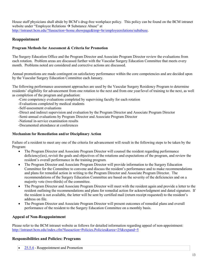House staff physicians shall abide by BCM's drug-free workplace policy. This policy can be found on the BCM intranet website under "Employee Relations  $\rightarrow$  Substance Abuse" at [http://intranet.bcm.edu/?fuseaction=home.showpage&tmp=hr/employeerelations/subabuse.](http://intranet.bcm.edu/?fuseaction=home.showpage&tmp=hr/employeerelations/subabuse)

## <span id="page-12-0"></span>**Reappointment**

#### **Program Methods for Assessment & Criteria for Promotion**

The Surgery Education Office and the Program Director and Associate Program Director review the evaluations from each rotation. Problem areas are discussed further with the Vascular Surgery Education Committee that meets every month. Problems noted are considered and corrective actions are discussed.

Annual promotions are made contingent on satisfactory performance within the core competencies and are decided upon by the Vascular Surgery Education Committee each January.

The following performance assessment approaches are used by the Vascular Surgery Residency Program to determine residents' eligibility for advancement from one rotation to the next and from one year/level of training to the next, as well as completion of the program and graduation:

-Core competency evaluations completed by supervising faculty for each rotation

-Evaluations completed by medical students

-Self-assessment evaluations

-Direct and indirect supervision and evaluation by the Program Director and Associate Program Director

-Semi-annual evaluations by Program Director and Associate Program Director

-National in-service examination results

-Documented attendance at conferences

#### **Mechanism for Remediation and/or Disciplinary Action**

Failure of a resident to meet any one of the criteria for advancement will result in the following steps to be taken by the Program:

- The Program Director and Associate Program Director will counsel the resident regarding performance deficiency(ies), revisit the goals and objectives of the rotations and expectations of the program, and review the resident's overall performance in the training program.
- The Program Director and Associate Program Director will provide information to the Surgery Education Committee for the Committee to convene and discuss the resident's performance and to make recommendations and plans for remedial action in writing to the Program Director and Associate Program Director. The recommendations of the Surgery Education Committee are based on the severity of the deficiencies and on a majority vote (two-thirds) of the committee.
- The Program Director and Associate Program Director will meet with the resident again and provide a letter to the resident outlining the recommendations and plans for remedial action for acknowledgment and dated signature. If the resident is not available, the letter will be sent by certified mail (return receipt requested) to the resident's address on file.
- The Program Director and Associate Program Director will present outcomes of remedial plans and overall performance of the resident to the Surgery Education Committee on a monthly basis.

## **Appeal of Non-Reappointment**

Please refer to the BCM intranet website as follows for detailed information regarding appeal of non-appointment: <http://intranet.bcm.edu/index.cfm?fuseaction=Policies.Policies&area=25&expand=5>

## <span id="page-12-1"></span>**Responsibilities and Policies: Programs**

• [25.5.4](http://intranet.bcm.edu/index.cfm?fuseaction=Policies.Display_Policy&Policy_Number=25.4.2) - Reappointment and Promotion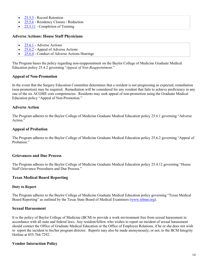- [25.5.5](http://intranet.bcm.edu/index.cfm?fuseaction=Policies.Display_Policy&Policy_Number=25.4.3) Record Retention
- [25.5.6](http://intranet.bcm.edu/index.cfm?fuseaction=Policies.Display_Policy&Policy_Number=25.4.4) Residency Closure / Reduction
- [25.5.11](http://intranet.bcm.edu/index.cfm?fuseaction=Policies.Display_Policy&Policy_Number=25.4.1) Completion of Training

#### <span id="page-13-0"></span>**Adverse Actions: House Staff Physicians**

- [25.6.1](http://intranet.bcm.edu/index.cfm?fuseaction=Policies.Display_Policy&Policy_Number=25.5.2) Adverse Actions
- [25.6.2](http://intranet.bcm.edu/index.cfm?fuseaction=Policies.Display_Policy&Policy_Number=25.5.3) Appeal of Adverse Actions
- [25.6.4](http://intranet.bcm.edu/index.cfm?fuseaction=Policies.Display_Policy&Policy_Number=25.5.21) Conduct of Adverse Actions Hearings

The Program bases the policy regarding non-reappointment on the Baylor College of Medicine Graduate Medical Education policy 25.4.2 governing "*Appeal of Non-Reappointment*."

#### **Appeal of Non-Promotion**

In the event that the Surgery Education Committee determines that a resident is not progressing as expected, remediation (non-promotion) may be required. Remediation will be considered for any resident that fails to achieve proficiency in any one of the six ACGME core competencies. Residents may seek appeal of non-promotion using the Graduate Medical Education policy "Appeal of Non-Promotion."

#### **Adverse Action**

The Program adheres to the Baylor College of Medicine Graduate Medical Education policy 25.6.1 governing "Adverse Action."

#### **Appeal of Probation**

The Program adheres to the Baylor College of Medicine Graduate Medical Education policy 25.6.2 governing "Appeal of Probation."

#### **Grievances and Due Process**

The Program adheres to the Baylor College of Medicine Graduate Medical Education policy 25.4.12 governing "House Staff Grievance Procedures and Due Process."

#### <span id="page-13-1"></span>**Texas Medical Board Reporting**

#### **Duty to Report**

The Program adheres to the Baylor College of Medicine Graduate Medical Education policy governing "Texas Medical Board Reporting" as outlined by the Texas State Board of Medical Examiners [\(www.tsbme.org\)](http://www.tsbme.org/).

#### <span id="page-13-2"></span>**Sexual Harassment**

It is the policy of Baylor College of Medicine (BCM) to provide a work environment free from sexual harassment in accordance with all state and federal laws. Any resident/fellow who wishes to report an incident of sexual harassment should contact the Office of Graduate Medical Education or the Office of Employee Relations, if he or she does not wish to report the incident to his/her program director. Reports may also be made anonymously, or not, to the BCM Integrity Hotline at 855-764-7292.

## <span id="page-13-3"></span>**Vendor Interaction Policy**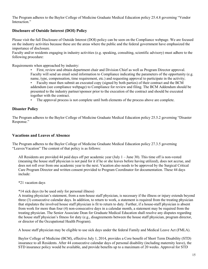The Program adheres to the Baylor College of Medicine Graduate Medical Education policy 25.4.8 governing "Vendor Interaction."

## <span id="page-14-0"></span>**Disclosure of Outside Interest (DOI) Policy**

Please visit the full Disclosure of Outside Interest (DOI) policy can be seen on the Compliance webpage. We are focused on the industry activities because these are the areas where the public and the federal government have emphasized the importance of disclosure.

Faculty and/or residents engaging in industry activities (e.g. speaking, consulting, scientific advisory) must adhere to the following procedure:

Requirements when approached by industry:

• First, review and obtain department chair and Division Chief as well as Program Director approval. Faculty will send an email send information to Compliance indicating the parameters of the opportunity (e.g. name, type, compensation, time requirement, etc.) and requesting approval to participate in the activity;

• Faculty must then submit an executed copy (signed by both parties) of their contract and the BCM addendum (see compliance webpage) to Compliance for review and filing. The BCM Addendum should be presented to the industry partner/sponsor prior to the execution of the contract and should be executed together with the contract.

• The approval process is not complete until both elements of the process above are complete.

#### <span id="page-14-1"></span>**Disaster Policy**

The Program adheres to the Baylor College of Medicine Graduate Medical Education policy 25.5.2 governing "Disaster Response."

#### <span id="page-14-2"></span>**Vacations and Leaves of Absence**

The Program adheres to the Baylor College of Medicine Graduate Medical Education policy 27.3.5 governing "Leaves/Vacation" The content of that policy is as follows:

All Residents are provided 44 paid days off per academic year (July 1 – June 30). This time off is non-vested (meaning the house staff physician is not paid for it if he or she leaves before having utilized), does not accrue, and does not roll over from one academic year to the next. Vacation also needs to be approved by the Surgical Critical Care Program Director and written consent provided to Program Coordinator for documentation. These 44 days include:

\*21 vacation days

#### \*14 sick days (to be used only for personal illness)

A treating physician's statement, from a non-house staff physician, is necessary if the illness or injury extends beyond three (3) consecutive calendar days. In addition, to return to work, a statement is required from the treating physician that stipulates the involved house staff physician is fit to return to duty. Further, if a house-staff physician is absent from work for more than four (4) non-consecutive days in a calendar month, a statement may be required from the treating physician. The Senior Associate Dean for Graduate Medical Education shall resolve any disputes regarding the house staff physician's fitness for duty (e.g., disagreements between the house staff physician, program director, or director of the Occupational Health Program).

A house staff physician may be eligible to use sick days under the federal Family and Medical Leave Act (FMLA).

Baylor College of Medicine (BCM), effective July 1, 2014, provides a Core benefit of Short Term Disability (STD) insurance to all Residents. After 44 consecutive calendar days of personal disability (including maternity leave), the STD insurance policy would be available, and provide benefits up to a maximum of 20 weeks. Approval for STD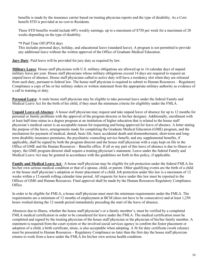benefits is made by the insurance carrier based on treating physician reports and the type of disability. As a Core benefit STD is provided at no cost to Residents.

These STD benefits would include 60% weekly earnings, up to a maximum of \$750 per week for a maximum of 20 weeks depending on the type of disability.

\*9 Paid Time Off (PTO) days

This includes personal days, holiday, and educational leave (standard leave). A program is not permitted to provide any additional leave without the written approval of the Office of Graduate Medical Education.

**Jury Duty**: Paid leave will be provided for jury duty as required by law.

**Military Leave**: House staff physicians with U.S. military obligations are allowed up to 14 calendar days of unpaid military leave per year. House staff physicians whose military obligations exceed 14 days are required to request an unpaid leave of absence. House staff physicians called to active duty will have a residency slot when they are released from such duty, pursuant to federal law. The house staff physician is required to submit to Human Resources – Regulatory Compliance a copy of his or her military orders or written statement from the appropriate military authority as evidence of a call to training or duty.

**Personal Leave**: A male house staff physician may be eligible to take personal leave under the federal Family and Medical Leave Act for the birth of his child, if they meet the minimum criteria for eligibility under the FMLA.

**Unpaid Leave-of-Absence**: A house staff physician may request and take unpaid leave of absence for up to 12 months for personal or family problems with the approval of the program director or his/her designee. Additionally, enrollment with at least half-time status in a degree program at an institution of higher education that is related to the house staff physician's medical career is an acceptable reason for requesting and being approved for leave of absence. A letter stating the purpose of the leave, arrangements made for completing the Graduate Medical Education (GME) program, and the mechanism for payment of medical, dental, basic life, basic accidental death and dismemberment, short-term and longterm disability insurance premiums, the psychiatric counseling service benefit, and any supplemental benefits, if applicable, shall be signed by both the program director and the house staff physician with a copy kept on file in the Office of GME and the Human Resources – Benefits office. If all or any part of this leave of absence is due to illness or injury, the GME program director shall require a treating physician's statement. Leave under the federal Family and Medical Leave Act may be granted in accordance with the guidelines set forth in this policy, if applicable.

**Family and Medical Leave Act** : A house staff physician may be eligible for job protection under the federal FMLA for his/her own serious medical condition or that of a spouse, child, or parent. Other qualifying events are the birth of a child or the house staff physician's adoption or foster placement of a child. Job protection under this law is a maximum of 12 weeks within a 12-month rolling calendar time period. All requests for leave under this law must be reported to the Offices of GME and Human Resources. Final approval shall be made by the Human Resources Regulatory Compliance Office.

In order to be eligible for FMLA, a house staff physician must meet the minimum requirements under the FMLA. The requirements are a minimum of 12 months of employment at BCM (does not have to be consecutive) and at least 1,250 hours worked during the 12 month period immediately preceding the start of the leave of absence.

Absences due to illness, whether the house staff physician's or a family member's, must be verified by a completed FMLA medical certification in order to be considered for leave under the FMLA. The medical certification must be completed and signed by the treating physician of the house staff physician or the physician of his/her family member. A statement is required from the court system or the involved social services agency to confirm the foster placement or adoption of a child; a birth certificate, alone, is also acceptable when adopting. A fit for duty certificate (work release) must be presented to Human Resources – Regulatory Compliance no later than the first day the house staff physician returns to work from a leave under the FMLA for his/her own serious health condition.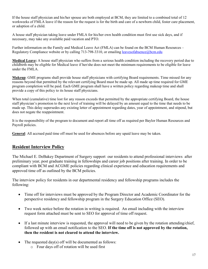If the house staff physician and his/her spouse are both employed at BCM, they are limited to a combined total of 12 workweeks of FMLA leave if the reason for the request is for the birth and care of a newborn child, foster care placement, or adoption of a child.

A house staff physician taking leave under FMLA for his/her own health condition must first use sick days, and if necessary, may take any available paid vacation and PTO.

Further information on the Family and Medical Leave Act (FMLA) can be found on the BCM Human Resources – Regulatory Compliance website or by calling 713-798-3310, or emailing [leavesofabsence@bcm.edu](mailto:leavesofabsence@bcm.edu)

**Medical Leave:** A house staff physician who suffers from a serious health condition including the recovery period due to childbirth may be eligible for Medical leave if her/she does not meet the minimum requirements to be eligible for leave under the FMLA.

**Makeup**: GME programs shall provide house staff physicians with certifying Board requirements. Time missed for any reasons beyond that permitted by the relevant certifying Board must be made up. All made up time required for GME program completion will be paid. Each GME program shall have a written policy regarding makeup time and shall provide a copy of this policy to its house staff physicians.

When total (cumulative) time lost for any reason exceeds that permitted by the appropriate certifying Board, the house staff physician's promotion to the next level of training will be delayed by an amount equal to the time that needs to be made up. This delay supersedes any existing letter of appointment regarding dates, year of appointment, and stipend, but does not negate the reappointment.

It is the responsibility of the program to document and report all time off as required per Baylor Human Resources and Payroll policies.

**General**: All accrued paid time off must be used for absences before any upaid leave may be taken.

# <span id="page-16-0"></span>**Resident Interview Policy**

The Michael E. DeBakey Department of Surgery support our residents to attend professional interviews after preliminary year, post graduate training in fellowships and career job positions after training. In order to be compliant with BCM and ACGME policies regarding clinical experience and education requirements and approved time off as outlined by the BCM policies.

The interview policy for residents in our departmental residency and fellowship programs includes the following:

- Time off for interviews must be approved by the Program Director and Academic Coordinator for the perspective residency and fellowship program in the Surgery Education Office (SEO).
- Two week notice before the rotation in writing is required. An email including with the interview request form attached must be sent to SEO for approval of time off request.
- If a last minute interview is requested, the approval will need to be given by the rotation attending/chief, followed up with an email notification to the SEO. **If the time off is not approved by the rotation, then the resident is not cleared to attend the interview.**
- The requested day(s) off will be documented as follows:
	- o Four days off of rotation will be used first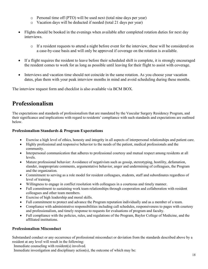- o Personal time off (PTO) will be used next (total nine days per year)
- o Vacation days will be deducted if needed (total 21 days per year)
- Flights should be booked in the evenings when available after completed rotation duties for next day interviews.
	- o If a resident requests to attend a night before event for the interview, these will be considered on a case-by-case basis and will only be approved if coverage on the rotation is available.
- If a flight requires the resident to leave before their scheduled shift is complete, it is strongly encouraged the resident comes to work for as long as possible until leaving for their flight to assist with coverage.
- Interviews and vacation time should not coincide in the same rotation. As you choose your vacation dates, plan them with your peak interview months in mind and avoid scheduling during these months.

The interview request form and checklist is also available via BCM BOX.

# <span id="page-17-0"></span>**Professionalism**

The expectations and standards of professionalism that are mandated by the Vascular Surgery Residency Program, and their significance and implications with regard to residents' compliance with such standards and expectations are outlined below.

## <span id="page-17-1"></span>**Professionalism Standards & Program Expectations**

- Exercise a high level of ethics, honesty and integrity in all aspects of interpersonal relationships and patient care.
- Highly professional and responsive behavior to the needs of the patient, medical professionals and the community.
- Interpersonal communication that adheres to professional courtesy and mutual respect among residents at all levels.
- Mature professional behavior: Avoidance of negativism such as gossip, stereotyping, hostility, defamation, slander, inappropriate comments, argumentative behavior, anger and undermining of colleagues, the Program and the organization.
- Commitment to serving as a role model for resident colleagues, students, staff and subordinates regardless of level of training.
- Willingness to engage in conflict resolution with colleagues in a courteous and timely manner.
- Full commitment to sustaining work team relationships through cooperation and collaboration with resident colleagues and other team members.
- Exercise of high leadership and moral skills.
- Full commitment to protect and advance the Program reputation individually and as a member of a team.
- Compliance with administrative responsibilities including call schedules, responsiveness to pages with courtesy and professionalism, and timely response to requests for evaluations of program and faculty.
- Full compliance with the policies, rules, and regulations of the Program, Baylor College of Medicine, and the affiliated institutions.

# <span id="page-17-2"></span>**Professionalism Misconduct**

Substandard conduct or any occurrence of professional misconduct or deviation from the standards described above by a resident at any level will result in the following:

Immediate counseling with resident(s) involved.

Immediate investigation and disciplinary action(s), the outcome of which may be: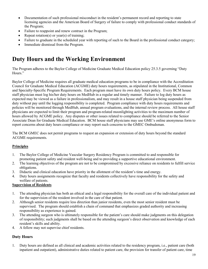- Documentation of such professional misconduct in the resident's permanent record and reporting to state licensing agencies and the American Board of Surgery of failure to comply with professional conduct standards of the Program;
- Failure to reappoint and renew contract in the Program;
- Repeat rotation(s) or year(s) of training;
- Failure to graduate in the scheduled year with reporting of such to the Board in the professional conduct category;
- Immediate dismissal from the Program.

# <span id="page-18-0"></span>**Duty Hours and the Working Environment**

The Program adheres to the Baylor College of Medicine Graduate Medical Education policy 25.3.5 governing "Duty Hours."

Baylor College of Medicine requires all graduate medical education programs to be in compliance with the Accreditation Council for Graduate Medical Education (ACGME) duty hours requirements, as stipulated in the Institutional, Common and Specialty-Specific Program Requirements. Each program must have its own duty hours policy. Every BCM house staff physician must log his/her duty hours on MedHub in a regular and timely manner. Failure to log duty hours as expected may be viewed as a failure in professionalism, and may result in a house staff physician being suspended from duty without pay until the logging responsibility is completed. Program compliance with duty hours requirements and policies will be monitored through MedHub, annual program evaluations, and the internal review process. All house staff physicians are expected to limit their program and program-related moonlighting activities to the maximum number of hours allowed by ACGME policy. Any disputes or other issues related to compliance should be referred to the Senior Associate Dean for Graduate Medical Education. BCM house staff physicians may use GME's online anonymous form to report concerns about duty hours compliance or may report such concerns to the GMEC Ombudsman.

The BCM GMEC does not permit programs to request an expansion or extension of duty hours beyond the standard ACGME requirements.

#### **Principles**

- 1. The Baylor College of Medicine Vascular Surgery Residency Program is committed to and responsible for promoting patient safety and resident well-being and to providing a supportive educational environment.
- 2. The learning objectives of the program are not to be compromised by excessive reliance on residents to fulfill service obligations.
- 3. Didactic and clinical education have priority in the allotment of the resident's time and energy.
- 4. Duty hours assignments recognize that faculty and residents collectively have responsibility for the safety and welfare of patients.

#### **Supervision of Residents**

- 1. The attending physician has both an ethical and a legal responsibility for the overall care of the individual patient and for the supervision of the resident involved in the care of that patient.
- 2. Although senior residents require less direction than junior residents, even the most senior resident must be supervised. The program should establish a chain of command that emphasizes graded authority and increasing responsibility as experience is gained.
- 3. The attending surgeon who is ultimately responsible for the patient's care should make judgments on this delegation of responsibility; such judgments shall be based on the attending surgeon's direct observation and knowledge of each resident's skills and ability.
- 4. A fellow may not supervise chief residents.

## <span id="page-18-1"></span>**Duty Hours**

1. Duty hours are defined as all clinical and academic activities related to the residency program, i.e., patient care (both inpatient and outpatient), administrative duties related to patient care, the provision for transfer of patient care, time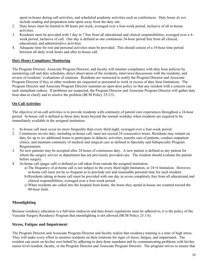spent in-house during call activities, and scheduled academic activities such as conferences. Duty hours *do not* include reading and preparation time spent away from the duty site.

- 2. Duty hours must be limited to 80 hours per week, averaged over a four-week period, inclusive of all in-house activities.
- 3. Residents must be provided with 1 day in 7 free from all educational and clinical responsibilities, averaged over a 4 week period, inclusive of call. One day is defined as one continuous 24-hour period free from all clinical, educational, and administrative activities.
- 4. Adequate time for rest and personal activities must be provided. This should consist of a 10-hour time period between all daily work hours and after in-house call.

#### **Duty Hours Compliance Monitoring**

The Program Director, Associate Program Director, and faculty will monitor compliance with duty hour policies by monitoring call and duty schedules, direct observation of the residents, interviews/discussions with the residents, and review of residents' evaluations of rotations. Residents are instructed to notify the Program Director and Associate Program Director if they or other residents are requested or pressured to work in excess of duty hour limitations. The Program Director and Associate Program Director maintain an open-door policy so that any resident with a concern can seek immediate redress. If problems are suspected, the Program Director and Associate Program Director will gather duty hour data to clarify and to resolve the problem (BCM Policy 25.3.5).

## **On Call Activities**

The objective of on-call activities is to provide residents with continuity of patient care experiences throughout a 24-hour period. In-house call is defined as those duty hours beyond the normal workday when residents are required to be immediately available in the assigned institution.

- 1. In-house call must occur no more frequently than every third night, averaged over a four-week period.
- 2. Continuous on-site duty, including in-house call, must not exceed 24 consecutive hours. Residents may remain on duty for up to six additional hours to participate in didactic activities, transfer care of patients, conduct outpatient clinics, and maintain continuity of medical and surgical care as defined in Specialty and Subspecialty Program Requirements.
- 3. No new patients may be accepted after 24 hours of continuous duty. A new patient is defined as any patient for whom the surgery service or department has not previously provided care. The resident should evaluate the patient before surgery.
- 4. At-home call (pager call) is defined as call taken from outside the assigned institution.
	- a) The frequency of at-home call is not subject to the every third night limitation, or 24+6 limitation. However, at-home call must not be so frequent as to preclude rest and reasonable personal time for each resident.
	- b)Residents taking at-home call must be provided with one day in seven completely free from all educational and clinical responsibilities, averaged over a four-week period.
	- c) When residents are called into the hospital from home, the hours they spend in-house are counted toward the 80-hour limit.

# <span id="page-19-0"></span>**Moonlighting**

Because residency education is a full-time endeavor and duty-hours regulations must be adhered to, it is the policy of the Vascular Surgery Residency Program that moonlighting is not allowed (BCM Policy 25.3.6).

## <span id="page-19-1"></span>**Stress, Fatigue and Impairment**

The Program Director and Associate Program Director and faculty realize that residency training is a time of high stress. They will make every effort to monitor residents on their rotations for signs of stress, fatigue, and impairment. The resident can assist on his/her own behalf by adhering to duty-hour mandates and by communicating problems with his/her senior level resident, faculty, or the Program Director and Associate Program Director. The program strives to ensure that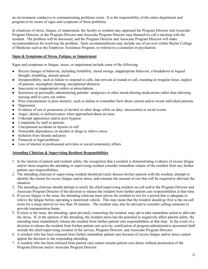an environment conducive to communicating problems exists. It is the responsibility of the entire department and program to be aware of signs and symptoms of these problems.

In situations of stress, fatigue, or impairment, the faculty or resident may approach the Program Director and Associate Program Director, or the Program Director and Associate Program Director may themselves call a meeting with the resident. The problem will be discussed, and the Program Director and Associate Program Director will make recommendations for resolving the problem. Such recommendations may include use of services within Baylor College of Medicine such as the Employee Assistance Program, or referral to a counselor or psychiatrist.

#### **Signs & Symptoms of Stress, Fatigue, or Impairment**

Signs and symptoms or fatigue, stress, or impairment include some of the following:

- Recent changes in behavior, including irritability, mood swings, inappropriate behavior, a breakdown in logical thought, trembling, slurred speech
- Irresponsibility, such as failure to respond to calls, late arrivals at rounds or call, rounding at irregular times, neglect of patients, incomplete charting, unexplained absences
- Inaccurate or inappropriate orders or prescriptions
- Insistence on personally administering patients' analgesics or other mood-altering medications rather than allowing nursing staff to carry out orders
- Poor concentration or poor memory, such as failure to remember facts about current and/or recent individual patients • Depression
- Evidence of use or possession of alcohol or other drugs while on duty; intoxication at social events
- Anger, denial, or defensiveness when approached about an issue
- Unkempt appearance and/or poor hygiene
- Complaints by staff or patients
- Unexplained accidents or injuries to self
- Noticeable dependency on alcohol or drugs to relieve stress
- Isolation from friends and peers
- Financial or legal problems
- Loss of interest in professional activities or social/community affairs

#### **Attending Clinician & Supervising Resident Responsibilities**

- 1. In the interest of patient and resident safety, the recognition that a resident is demonstrating evidence of excess fatigue and/or stress requires the attending or supervising resident consider immediate release of the resident from any further patient care responsibilities.
- 2. The attending clinician or supervising resident should privately discuss his/her opinion with the resident, attempt to identify the reason for excess fatigue and/or stress, and estimate the amount of rest that will be required to alleviate the situation.
- 3. The attending clinician should attempt to notify the chief/supervising resident on-call and/or the Program Director and Associate Program Director of the decision to release the resident from further patient care responsibilities at that time.
- 4. If excess fatigue is the issue, the attending clinician must advise the resident to rest for a period that is adequate to relieve the fatigue before operating a motorized vehicle. This may mean that the resident should go first to the on-call room for a sleep interval no less than 30 minutes. The resident may also be advised to consider calling someone to provide transportation home.
- 5. If stress is the issue, the attending, upon privately counseling the resident, may opt to take immediate action to alleviate the stress. If, in the opinion of the attending, the resident stress has the potential to negatively affect patient safety, the attending must immediately release the resident from further patient care responsibilities at that time. In the event of a decision to release the resident from further patient care activity, notification of program administrative personnel shall include the chief/supervising resident of the service, Program Director, and Associate Program Director.
- 6. A resident who has been released from further immediate patient care because of excess fatigue and/or stress cannot appeal the decision to the responding attending.
- 7. A resident who has been released from patient care cannot resume patient care duties without permission of the Program Director and/or Associate Program Director.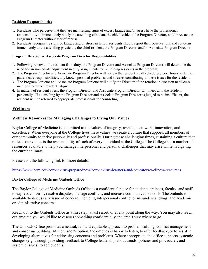#### **Resident Responsibilities**

- 1. Residents who perceive that they are manifesting signs of excess fatigue and/or stress have the professional responsibility to immediately notify the attending clinician, the chief resident, the Program Director, and/or Associate Program Director without fear of reprisal.
- 2. Residents recognizing signs of fatigue and/or stress in fellow residents should report their observations and concerns immediately to the attending physician, the chief resident, the Program Director, and/or Associate Program Director.

#### **Program Director & Associate Program Director Responsibilities**

- 1. Following removal of a resident from duty, the Program Director and Associate Program Director will determine the need for an immediate adjustment in duty assignments for remaining residents in the program.
- 2. The Program Director and Associate Program Director will review the resident's call schedules, work hours, extent of patient care responsibilities, any known personal problems, and stresses contributing to these issues for the resident.
- 3. The Program Director and Associate Program Director will notify the Director of the rotation in question to discuss methods to reduce resident fatigue.
- 4. In matters of resident stress, the Program Director and Associate Program Director will meet with the resident personally. If counseling by the Program Director and Associate Program Director is judged to be insufficient, the resident will be referred to appropriate professionals for counseling.

# <span id="page-21-0"></span>**Wellness**

## **Wellness Resources for Managing Challenges to Living Our Values**

Baylor College of Medicine is committed to the values of integrity, respect, teamwork, innovation, and excellence. When everyone at the College lives these values we create a culture that supports all members of our community to thrive personally and professionally. During these challenging times, sustaining a culture that reflects our values is the responsibility of each of every individual at the College. The College has a number of resources available to help you manage interpersonal and personal challenges that may arise while navigating the current climate.

Please visit the following link for more details:

<https://www.bcm.edu/coronavirus-preparedness/coronavirus-learners-and-educators/wellness-resources>

## Baylor College of Medicine Ombuds Office

The Baylor College of Medicine Ombuds Office is a confidential place for students, trainees, faculty, and staff to express concerns, resolve disputes, manage conflicts, and increase communication skills. The ombuds is available to discuss any issue of concern, including interpersonal conflict or misunderstandings, and academic or administrative concerns.

Reach out to the Ombuds Office as a first step, a last resort, or at any point along the way. You may also reach out anytime you would like to discuss something confidentially and aren't sure where to go.

The Ombuds Office promotes a neutral, fair and equitable approach to problem solving, conflict management and consensus building. At the visitor's option, the ombuds is happy to listen, to offer feedback, or to assist in developing alternatives for addressing concerns and problems. Where appropriate, the office supports systemic changes (e.g. through providing feedback to College leadership about trends, policies and procedures, and systemic issues) to achieve this.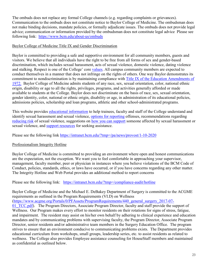The ombuds does not replace any formal College channels (e.g. regarding complaints or grievances). Communication to the ombuds does not constitute notice to Baylor College of Medicine. The ombudsman does not make binding decisions, mandate policies, or formally adjudicate issues. The ombuds does not provide legal advice; communication or information provided by the ombudsman does not constitute legal advice Please see following link: <https://www.bcm.edu/about-us/ombuds>

## Baylor College of Medicine Title IX and Gender Discrimination

Baylor is committed to providing a safe and supportive environment for all community members, guests and visitors. We believe that all individuals have the right to be free from all forms of sex and gender-based discrimination, which includes sexual harassment, acts of sexual violence, domestic violence, dating violence and stalking. Respect is one of the College' core [values.](https://www.bcm.edu/about-us/mission-vision-values) All campus community members are expected to conduct themselves in a manner that does not infringe on the rights of others. One way Baylor demonstrates its commitment to nondiscrimination is by maintaining compliance with [Title IX of the Education Amendments of](https://www.bcm.edu/education/academic-faculty-affairs/academic-policies/title-ix-and-gender-discrimination/education)  [1972.](https://www.bcm.edu/education/academic-faculty-affairs/academic-policies/title-ix-and-gender-discrimination/education) Baylor College of Medicine admits students of any race, sex, sexual orientation, color, national ethnic origin, disability or age to all the rights, privileges, programs, and activities generally afforded or made available to students at the College. Baylor does not discriminate on the basis of race, sex, sexual orientation, gender identity, color, national or ethnic origin, disability or age, in administration of its educational policies, admissions policies, scholarship and loan programs, athletic and other school-administrated programs.

This website provides [educational information](https://www.bcm.edu/education/academic-faculty-affairs/academic-policies/title-ix-and-gender-discrimination/education) to help trainees, faculty and staff of the College understand and identify sexual harassment and sexual violence, [options for reporting](https://www.bcm.edu/education/academic-faculty-affairs/academic-policies/title-ix-and-gender-discrimination/reporting-options) offenses, recommendations regarding [reducing risk](https://www.bcm.edu/education/academic-faculty-affairs/academic-policies/title-ix-and-gender-discrimination/reduce-your-risk) of sexual violence, suggestions on [how you can support](https://www.bcm.edu/education/academic-faculty-affairs/academic-policies/title-ix-and-gender-discrimination/how-you-can-help) someone affected by sexual harassment or sexual violence, and [support resources](https://www.bcm.edu/education/academic-faculty-affairs/academic-policies/title-ix-and-gender-discrimination/get-help) for seeking assistance.

Please see the following link<https://intranet.bcm.edu/?tmp=/pa/news/provost/1-10-2020>

# Professionalism Integrity Hotline

Baylor College of Medicine is committed to providing an environment where open and honest communications are the expectation, not the exception. We want you to feel comfortable in approaching your supervisor, management, faculty member, peer or physician in instances where you believe violations of the BCM Code of Conduct, policies, standards, ethics, or laws have occurred, or if you have concerns regarding any other matter. The Integrity Hotline and Web Portal provides an additional method to report concerns

Please see the following link: <https://intranet.bcm.edu/?tmp=/compliance-audit/hotline>

Baylor College of Medicine and the Michael E. DeBakey Department of Surgery is committed to the ACGME requirements as outlined in the Program Requirements (VI.D) on Wellness [\(https://www.acgme.org/Portals/0/PFAssets/ProgramRequirements/440\\_general\\_surgery\\_2017-07-](https://www.acgme.org/Portals/0/PFAssets/ProgramRequirements/440_general_surgery_2017-07-01_TCC.pdf) 01 TCC.pdf). The Program Directors, Associate Program Director, faculty and staff provide the support of Wellness. Our Program makes every effort to monitor residents on their rotations for signs of stress, fatigue, and impairment. The resident may assist on his/her own behalf by adhering to clinical experience and education mandates and by communicating problems with supervising faculty, the Program Director, Associate Program Director, senior residents and/or administrative team members in the Surgery Education Office. The program strives to ensure that an environment conducive to communicating problems exists. The Department provides educational curriculum from workshops, small groups, leadership series, etc. to assist residents as related to wellness. The College also provides Employee assistance counseling for HouseStaff members and maintained as confidential as outlined below.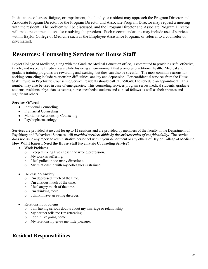In situations of stress, fatigue, or impairment, the faculty or resident may approach the Program Director and Associate Program Director, or the Program Director and Associate Program Director may request a meeting with the resident. The problem will be discussed, and the Program Director and Associate Program Director will make recommendations for resolving the problem. Such recommendations may include use of services within Baylor College of Medicine such as the Employee Assistance Program, or referral to a counselor or psychiatrist.

# <span id="page-23-0"></span>**Resources: Counseling Services for House Staff**

Baylor College of Medicine, along with the Graduate Medical Education office, is committed to providing safe, effective, timely, and respectful medical care while fostering an environment that promotes practitioner health. Medical and graduate training programs are rewarding and exciting, but they can also be stressful. The most common reasons for seeking counseling include relationship difficulties, anxiety and depression. For confidential services from the House Staff Physician Psychiatric Counseling Service, residents should call 713.798.4881 to schedule an appointment. This number may also be used in case of emergencies. This counseling services program serves medical students, graduate students, residents, physician assistants, nurse anesthetist students and clinical fellows as well as their spouses and significant others.

#### **Services Offered**

- Individual Counseling
- Premarital Counseling
- Marital or Relationship Counseling
- Psychopharmacology

Services are provided at no cost for up to 12 sessions and are provided by members of the faculty in the Department of Psychiatry and Behavioral Sciences. *All provided services abide by the strictest rules of confidentiality.* The service does not issue any report to administrative personnel within your department or any others of Baylor College of Medicine. **How Will I Know I Need the House Staff Psychiatric Counseling Service?**

- Work Problems
	- o I keep thinking I've chosen the wrong profession.
	- o My work is suffering.
	- o I feel pulled in too many directions.
	- o My relationship with my colleagues is strained.
- Depression/Anxiety
	- o I'm depressed much of the time.
	- o I'm anxious much of the time.
	- o I feel angry much of the time.
	- o I'm drinking more.
	- o I think I have an eating disorder.
- Relationship Problems
	- o I am having serious doubts about my marriage or relationship.
	- o My partner tells me I'm retreating.
	- o I don't like going home.
	- o My relationship gives me little pleasure.

# <span id="page-23-1"></span>**Resident Responsibilities**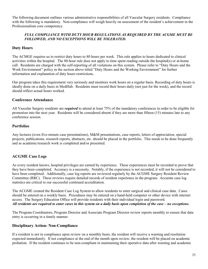The following document outlines various administrative responsibilities of all Vascular Surgery residents. Compliance with the following is mandatory. Non-compliance will weigh heavily on assessment of the resident's achievement in the Professionalism core competency.

#### *FULL COMPLIANCE WITH DUTY HOUR REGULATIONS AS REQUIRED BY THE ACGME MUST BE FOLLOWED, AND NO EXCEPTIONS WILL BE TOLERATED.*

## <span id="page-24-0"></span>**Duty Hours**

The ACMGE requires us to restrict duty hours to 80 hours per week. This rule applies to hours dedicated to clinical activities within the hospital. The 80-hour rule does not apply to time spent reading outside the hospital(s) or at-home call. Residents are charged with the self-reporting of all violations on this system. Please refer to "Duty Hours and the Work Environment" policy in the section above titled "Duty Hours and the Working Environment" for further information and explanation of duty hours restrictions.

Our program takes this requirement very seriously and monitors work hours on a regular basis. Recording of duty hours is ideally done on a daily basis in MedHub. Residents must record their hours daily (not just for the week), and the record should reflect actual hours worked.

## <span id="page-24-1"></span>**Conference Attendance**

All Vascular Surgery residents are *required* to attend at least 75% of the mandatory conferences in order to be eligible for promotion into the next year. Residents will be considered absent if they are more than fifteen (15) minutes late to any conference session.

#### <span id="page-24-2"></span>**Portfolios**

Any lectures (even five-minute case presentations), M&M presentations, case reports, letters of appreciation, special projects, publications, research reports, abstracts, etc. should be placed in the portfolio. This needs to be done frequently and as academic/research work is completed and/or presented.

# <span id="page-24-3"></span>**ACGME Case Logs**

As every resident knows, hospital privileges are earned by experience. These experiences must be recorded to prove that they have been completed. Accuracy is a necessity. Notably, if the experience is not recorded, it will not be considered to have been completed. Additionally, case log reports are reviewed regularly by the ACGME Surgery Resident Review Committee (RRC). These reviews require detailed records of resident experience in the program. Accurate case log statistics are critical to our successful continued accreditation.

The ACGME created the Resident Case Log System to allow residents to enter surgical and clinical case data. Cases should be entered on a weekly basis. Procedures may be entered on a hand-held computer or other device with internet access. The Surgery Education Office will provide residents with their individual login and password. *All residents are required to enter cases in this system on a daily basis upon completion of the case – no exceptions.*

The Program Coordinators, Program Director and Associate Program Director review reports monthly to ensure that data entry is occurring in a timely manner.

## **Disciplinary Action- Non-Compliance**

If a resident is not in compliance upon review on a monthly basis, the resident will receive a warning and resolution expected immediately. If not compliance at the end of the month upon review, the resident will be placed on academic probation. If the resident continues to be non-compliant in maintaining their operative data after warning and academic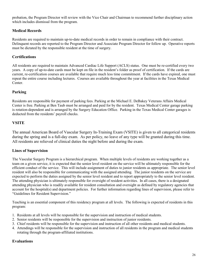probation, the Program Director will review with the Vice Chair and Chairman to recommend further disciplinary action which includes dismissal from the program.

# <span id="page-25-0"></span>**Medical Records**

Residents are required to maintain up-to-date medical records in order to remain in compliance with their contract. Delinquent records are reported to the Program Director and Associate Program Director for follow up. Operative reports must be dictated by the responsible resident at the time of surgery.

## <span id="page-25-1"></span>**Certifications**

All residents are required to maintain Advanced Cardiac Life Support (ACLS) status. One must be re-certified every two years. A copy of up-to-date cards must be kept on file in the resident's folder as proof of certification. If the cards are current, re-certification courses are available that require much less time commitment. If the cards have expired, one must repeat the entire course including lectures. Courses are available throughout the year at facilities in the Texas Medical Center.

## <span id="page-25-2"></span>**Parking**

Residents are responsible for payment of parking fees. Parking at the Michael E. DeBakey Veterans Affairs Medical Center is free. Parking at Ben Taub must be arranged and paid for by the resident. Texas Medical Center garage parking is rotation-dependent and is arranged by the Surgery Education Office. Parking in the Texas Medical Center garages is deducted from the residents' payroll checks.

## <span id="page-25-3"></span>**VSITE**

The annual American Board of Vascular Surgery In-Training Exam (VSITE) is given to all categorical residents during the spring and is a full-day exam. As per policy, no leave of any type will be granted during this time. All residents are relieved of clinical duties the night before and during the exam.

## <span id="page-25-4"></span>**Lines of Supervision**

The Vascular Surgery Program is a hierarchical program. When multiple levels of residents are working together as a team on a given service, it is expected that the senior level resident on the service will be ultimately responsible for the efficient conduct of the service. This will include assignment of duties to junior residents as appropriate. The senior level resident will also be responsible for communicating with the assigned attending. The junior residents on the service are expected to perform the duties assigned by the senior level resident and to report appropriately to the senior level resident. The attending physician is ultimately responsible for oversight of resident activities. In all cases, there is a designated attending physician who is readily available for resident consultation and oversight as defined by regulatory agencies that account for the hospital(s) and department policies. For further information regarding lines of supervision, please refer to "Guidelines for Resident Supervision."

Teaching is an essential component of this residency program at all levels. The following is expected of residents in this program:

- 1. Residents at all levels will be responsible for the supervision and instruction of medical students.
- 2. Senior residents will be responsible for the supervision and instruction of junior residents.
- 3. Chief residents will be responsible for the supervision and instruction of all other residents and medical students.
- 4. Attendings will be responsible for the supervision and instruction of all residents in the program and medical students rotating through the program-affiliated institutions.

## <span id="page-25-5"></span>**Evaluations**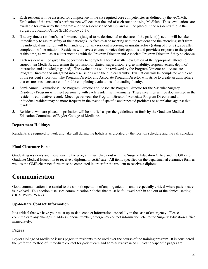- 1. Each resident will be assessed for competence in the six required core competencies as defined by the ACGME. Evaluation of the resident's performance will occur at the end of each rotation using MedHub. These evaluations are available for review by the program and the resident via MedHub, and will be placed in the resident's file in the Surgery Education Office (BCM Policy 25.3.6).
- 2. If at any time a resident's performance is judged to be detrimental to the care of the patient(s), action will be taken immediately to assure safety of the patient(s). A face-to-face meeting with the resident and the attending staff from the individual institution will be mandatory for any resident receiving an unsatisfactory (rating of 1 or 2) grade after completion of the rotation. Residents will have a chance to voice their opinions and provide a response to the grade at this time, as well as at a later meeting with the Program Director and Associate Program Director if they so choose.
- 3. Each resident will be given the opportunity to complete a formal written evaluation of the appropriate attending surgeon via MedHub, addressing the provision of clinical supervision (e.g. availability, responsiveness, depth of interaction and knowledge gained). The evaluations will be reviewed by the Program Director and Associate Program Director and integrated into discussions with the clinical faculty. Evaluations will be completed at the end of the resident's rotation. The Program Director and Associate Program Director will strive to create an atmosphere that ensures residents are comfortable completing evaluations of attending faculty.
- 4. Semi-Annual Evaluations: The Program Director and Associate Program Director for the Vascular Surgery Residency Program will meet personally with each resident semi-annually. These meetings will be documented in the resident's cumulative record. Meetings between the Program Director / Associate Program Director and an individual resident may be more frequent in the event of specific and repeated problems or complaints against that resident.
- 5. Residents who are placed on probation will be notified as per the guidelines set forth by the Graduate Medical Education Committee of Baylor College of Medicine.

## <span id="page-26-0"></span>**Department Holidays**

Residents are required to work and take call during the holidays as dictated by the rotation schedule and the call schedule.

## <span id="page-26-1"></span>**Final Clearance Form**

Graduating residents and those leaving the program must check out with the Surgery Education Office and the Office of Graduate Medical Education to receive a diploma or certificate. All items specified on the departmental clearance form as well as the GME clearance form must be completed in order for the resident to receive a diploma.

# <span id="page-26-2"></span>**Communication**

Good communication is essential to the smooth operation of any organization and is especially critical where patient care is involved. This section discusses communication policies that must be followed both in and out of the clinical setting (BCM Policy 25.4.2).

# <span id="page-26-3"></span>**Up-to-Date Contact Information**

It is critical that we have your most up-to-date contact information, especially in the case of emergency. Please communicate any changes in address, phone number, emergency contact information, etc. to the Surgery Education Office immediately.

# <span id="page-26-4"></span>**Pagers**

Baylor College of Medicine issues pagers to residents to be used over the course of the training program. It is considered the preferred method of immediate contact for patient care and administrative needs. Rotation-specific pagers are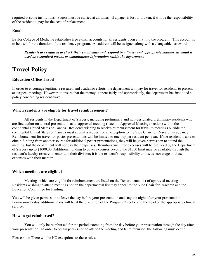required at some institutions. Pagers must be carried at all times. If a pager is lost or broken, it will be the responsibility of the resident to pay for the cost of replacement.

#### <span id="page-27-0"></span>**Email**

Baylor College of Medicine establishes free e-mail accounts for all residents upon entry into the program. This account is to be used for the duration of the residency program. An address will be assigned along with a changeable password.

*Residents are required to check their email daily and respond in a timely and appropriate manner, as email is used as a standard means to communicate information within the department.* 

# <span id="page-27-1"></span>**Travel Policy**

#### **Education Office Travel**

In order to encourage legitimate research and academic efforts, the department will pay for travel for residents to present at surgical meetings. However, to insure that the money is spent fairly and appropriately, the department has instituted a policy concerning resident travel.

#### **Which residents are eligible for travel reimbursement?**

All residents in the Department of Surgery, including preliminary and non-designated preliminary residents who are first author on an oral presentation at an approved meeting (listed in Approved Meetings section) within the continental United States or Canada. Residents wishing to receive reimbursement for travel to meetings outside the continental United States or Canada must submit a request for an exception to the Vice Chair for Research in advance. Reimbursement for travel for poster presentations will be limited to one trip per resident per year. If the resident is able to obtain funding from another source for additional poster presentations, they will be given permission to attend the meeting, but the department will not pay their expenses. Reimbursement for expenses will be provided by the Department of Surgery up to \$1000.00. Additional funding to cover expenses beyond the \$1000 limit may be available through the resident's faculty research mentor and their division; it is the resident's responsibility to discuss coverage of these expenses with their mentor.

#### **Which meetings are eligible?**

Meetings which are eligible for reimbursement are listed on the Departmental list of approved meetings. Residents wishing to attend meetings not on the departmental list may appeal to the Vice Chair for Research and the Education Committee for funding.

You will be given permission to leave the day before your presentation and stay the night after your presentation. Permission to stay additional days will be at the discretion of the Program Director and the head of the appropriate clinical service.

#### <span id="page-27-2"></span>**How to get reimbursed?**

You will only be reimbursed for the period extending from the day before your presentation through the day after your presentation. In order to obtain permission to attend the meeting and be reimbursed, the following must occur.

Please note: There will be NO exceptions to these rules.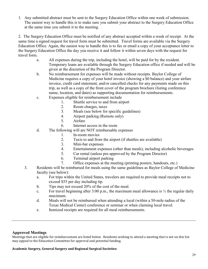1. Any submitted abstract must be sent to the Surgery Education Office within one week of submission. The easiest way to handle this is to make sure you submit your abstract to the Surgery Education Office at the same time you submit it to the meeting.

2. The Surgery Education Office must be notified of any abstract accepted within a week of receipt. At the same time a signed request for travel form must be submitted. Travel forms are available via the Surgery Education Office. Again, the easiest way to handle this is to fax or email a copy of your acceptance letter to the Surgery Education Office the day you receive it and follow it within seven days with the request for travel form.

- a. All expenses during the trip, including the hotel, will be paid for by the resident. Temporary loans are available through the Surgery Education office if needed and will be given at the discretion of the Program Director.
- b. No reimbursement for expenses will be made without receipts. Baylor College of Medicine requires a copy of your hotel invoice (showing a \$0 balance) and your airfare invoice, credit card statement, and/or cancelled checks for any payments made on this trip, as well as a copy of the front cover of the program brochure (listing conference name, location, and dates) as supporting documentation for reimbursements.
- c. Expenses eligible for reimbursement include
	- 1. Shuttle service to and from airport
	- 2. Room charges, taxes
	- 3. Meals (see below for specific guidelines)
	- 4. Airport parking (Remote only)
	- 5. Airfare
	- 6. Internet access in the room
- d. The following will are NOT reimbursable expenses
	- 1. In-room movies
	- 2. Taxis to and from the airport (if shuttles are available)
	- 3. Mini-bar expenses
	- 4. Entertainment expenses (other than meals), including alcoholic beverages
	- 5. Car rental (unless pre-approved by the Program Director)
	- 6. Terminal airport parking
	- 7. Office expenses at the meeting (printing posters, handouts, etc.)
- 3. Residents will be reimbursed for meals using the same guidelines as Baylor College of Medicine faculty (see below):
	- a. For trips within the United States, travelers are required to provide meal receipts not to exceed \$55 per day including tip.
	- b. Tips may not exceed 20% of the cost of the meal.
	- c. For travel beginning after 3:00 p.m., the maximum meal allowance is  $\frac{1}{2}$  the regular daily maximum.
	- d. Meals will not be reimbursed when attending a local (within a 50-mile radius of the Texas Medical Center) conference or seminar or when claiming local travel.
	- e. Itemized receipts are required for all meal reimbursements.

## <span id="page-28-0"></span>**Approved Meetings**

Meetings that are eligible for reimbursement are listed below. Residents wishing to attend a meeting that is not on this list may appeal to the Education Committee for approval and potential funding.

#### **Academic Surgery, General Surgery and Regional Surgical Societies:**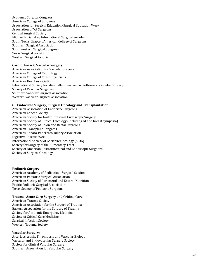Academic Surgical Congress American College of Surgeons Association for Surgical Education/Surgical Education Week Association of VA Surgeons Central Surgical Society Michael E. DeBakey International Surgical Society South Texas Chapter, American College of Surgeons Southern Surgical Association Southwestern Surgical Congress Texas Surgical Society Western Surgical Association

#### **Cardiothoracic Vascular Surgery:**

American Association for Vascular Surgery American College of Cardiology American College of Chest Physicians American Heart Association International Society for Minimally Invasive Cardiothoracic Vascular Surgery Society of Vascular Surgeons Southern Vascular Surgical Association Western Vascular Surgical Association

#### **GI, Endocrine Surgery, Surgical Oncology and Transplantation:**

American Association of Endocrine Surgeons American Cancer Society American Society for Gastrointestinal Endoscopic Surgery American Society of Clinical Oncology (including GI and breast symposia) American Society of Colon and Rectal Surgeons American Transplant Congress Americas Hepato -Pancreato -Biliary Association Digestive Disease Week International Society of Geriatric Oncology (SIOG) Society for Surgery of the Alimentary Tract Society of American Gastrointestinal and Endoscopic Surgeons Society of Surgical Oncology

#### **Pediatric Surgery:**

American Academy of Pediatrics - Surgical Section American Pediatric Surgical Association American Society of Parenteral and Enteral Nutrition Pacific Pediatric Surgical Association Texas Society of Pediatric Surgeons

#### **Trauma, Acute Care Surgery and Critical Care:**

American Trauma Society American Association for the Surgery of Trauma Eastern Association for the Surgery of Trauma Society for Academic Emergency Medicine Society of Critical Care Medicine Surgical Infection Society Western Trauma Society

#### **Vascular Surgery:**

Arteriosclerosis, Thrombosis and Vascular Biology Vascular and Endovascular Surgery Society Society for Clinical Vascular Surgery Southern Association for Vascular Surgery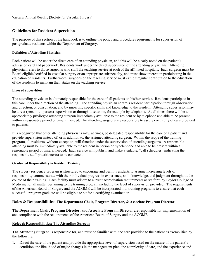## <span id="page-30-0"></span>**Guidelines for Resident Supervision**

The purpose of this section of the handbook is to outline the policy and procedure requirements for supervision of postgraduate residents within the Department of Surgery.

#### **Definition of Attending Physician**

Each patient will be under the direct care of an attending physician, and this will be clearly noted on the patient's admission card and paperwork. Residents work under the direct supervision of the attending physicians. Attending physician refers to those surgeons who staff the teaching service at each of the affiliated hospitals. Each surgeon must be Board eligible/certified in vascular surgery or an appropriate subspecialty, and must show interest in participating in the education of residents. Furthermore, surgeons on the teaching service must exhibit regular contribution to the education of the residents to maintain their status on the teaching service.

#### **Lines of Supervision**

The attending physician is ultimately responsible for the care of all patients on his/her service. Residents participate in this care under the direction of the attending. The attending physician controls resident participation through observation and direction, or consultation, and by imparting specific skills and knowledge to the resident. Attending supervision may be direct (person-to-person) supervision or through discussion, for example by telephone. At all times there will be an appropriately privileged attending surgeon immediately available to the resident or by telephone and able to be present within a reasonable period of time, if needed. The attending surgeons are responsible to assure continuity of care provided to patients.

It is recognized that other attending physicians may, at times, be delegated responsibility for the care of a patient and provide supervision instead of, or in addition to, the assigned attending surgeon. Within the scope of the training program, all residents, without exception, will function under the supervision of attending surgeons. A responsible attending must be immediately available to the resident in person or by telephone and able to be present within a reasonable period of time, if needed. Each service will publish, and make available, "call schedules" indicating the responsible staff practitioner(s) to be contacted.

#### **Graduated Responsibility in Resident Training**

The surgery residency program is structured to encourage and permit residents to assume increasing levels of responsibility commensurate with their individual progress in experience, skill, knowledge, and judgment throughout the course of their training. Each facility must adhere to current accreditation requirements as set forth by Baylor College of Medicine for all matter pertaining to the training program including the level of supervision provided. The requirements of the American Board of Surgery and the ACGME will be incorporated into training programs to ensure that each successful program graduate will be eligible to sit for a certifying examination.

#### <span id="page-30-1"></span>**Roles & Responsibilities: The Department Chair, Program Director, & Associate Program Director**

**The Department Chair, Program Director, and Associate Program Director** are responsible for implementation of and compliance with the requirements of the American Board of Surgery and the ACGME.

#### **Roles & Responsibilities: The Attending Surgeon**

**The Attending Surgeon** is responsible for, and must be familiar with, the care provided to the patient as exemplified by the following:

1. Direct the care of the patient and provide the appropriate level of supervision based on the nature of the patient's condition, the likelihood of major changes in the management plan, the complexity of care, and the experience and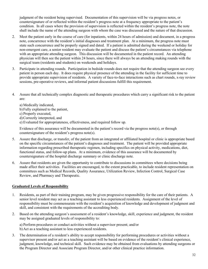judgment of the resident being supervised. Documentation of this supervision will be via progress notes, or countersignature of or reflected within the resident's progress note at a frequency appropriate to the patient's condition. In all cases where the provision of supervision is reflected within the resident's progress note, the note shall include the name of the attending surgeon with whom the case was discussed and the nature of that discussion.

- 2. Meet the patient early in the course of care (for inpatients, within 24 hours of admission) and document, in a progress note, concurrence with the resident's initial diagnoses and treatment plan. At a minimum, the progress note must state such concurrence and be properly signed and dated. If a patient is admitted during the weekend or holiday for non-emergent care, a senior resident may evaluate the patient and discuss the patient's circumstances via telephone with an appropriate attending surgeon. This discussion will be documented in the patient record. An attending physician will then see the patient within 24 hours, since there will always be an attending making rounds with the surgical team (residents and students) on weekends and holidays.
- 3. Participate in attending rounds. Participation in bedside rounds does not require that the attending surgeon see every patient in person each day. It does require physical presence of the attending in the facility for sufficient time to provide appropriate supervision of residents. A variety of face-to-face interactions such as chart rounds, x-ray review sessions, pre-operative reviews, and informal patient discussions fulfill this requirement.
- 4. Assure that all technically complex diagnostic and therapeutic procedures which carry a significant risk to the patient are:

a) Medically indicated, b) Fully explained to the patient, c) Properly executed, d)Correctly interpreted, and e) Evaluated for appropriateness, effectiveness, and required follow up. Evidence of this assurance will be documented in the patient's record via the progress note(s), or through countersignature of the resident's progress note(s).

- 5. Assure that discharge, or transfer, of the patient from an integrated or affiliated hospital or clinic is appropriate based on the specific circumstances of the patient's diagnoses and treatment. The patient will be provided appropriate information regarding prescribed therapeutic regimen, including specifics on physical activity, medications, diet, functional status, and follow-up plans. At a minimum, evidence of this assurance will be documented by countersignature of the hospital discharge summary or clinic discharge note.
- 6. Assure that residents are given the opportunity to contribute to discussions in committees where decisions being made affect their activities. Facilities are encouraged, to the extent practicable, to include resident representation on committees such as Medical Records, Quality Assurance, Utilization Review, Infection Control, Surgical Case Review, and Pharmacy and Therapeutic.

#### **Graduated Levels of Responsibility**

- 1. Residents, as part of their training program, may be given progressive responsibility for the care of their patients. A senior level resident may act as a teaching assistant to less experienced residents. Assignment of the level of responsibility must be commensurate with the resident's acquisition of knowledge and development of judgment and skill, and consistent with the requirements of the accrediting body.
- 2. Based on the attending surgeon's assessment of a resident's knowledge, skill, experience and judgment, the resident may be assigned graduated levels of responsibility to:

a) Perform procedures or conduct activities without a supervisor present; and/or b) Act as a teaching assistant to less experienced residents.

3. The determination of a resident's ability to accept responsibility for performing procedures or activities without a supervisor present and/or act as a teaching assistant will be based on evidence of the resident's clinical experience, judgment, knowledge, and technical skill. Such evidence may be obtained from evaluations by attending surgeons or the Program Director and Associate Program Director, and/or other clinical practice information.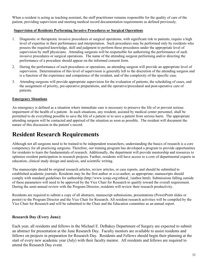When a resident is acting as teaching assistant, the staff practitioner remains responsible for the quality of care of the patient, providing supervision and meeting medical record documentation requirements as defined previously.

#### **Supervision of Residents Performing Invasive Procedures or Surgical Operations**

- 1. Diagnostic or therapeutic invasive procedures or surgical operations, with significant risk to patients, require a high level of expertise in their performance and interpretation. Such procedures may be performed only by residents who possess the required knowledge, skill and judgment to perform these procedures under the appropriate level of supervision by staff physicians. Attending surgeons will be responsible for authorizing the performance of such invasive procedures or surgical operations. The name of the attending surgeon performing and/or directing the performance of a procedure should appear on the informed consent form.
- 2. During the performance of such procedures or operations, an attending surgeon will provide an appropriate level of supervision. Determination of this level of supervision is generally left to the discretion of the attending surgeon and is a function of the experience and competence of the resident, and of the complexity of the specific case.
- 3. Attending surgeons will provide appropriate supervision for the evaluation of patients, the scheduling of cases, and the assignment of priority, pre-operative preparations, and the operative/procedural and post-operative care of patients.

## **Emergency Situations**

An emergency is defined as a situation where immediate care is necessary to preserve the life of or prevent serious impairment of the health of a patient. In such situations, any resident, assisted by medical center personnel, shall be permitted to do everything possible to save the life of a patient or to save a patient from serious harm. The appropriate attending surgeon will be contacted and apprised of the situation as soon as possible. The resident will document the nature of this discussion in the patient's record.

# <span id="page-32-0"></span>**Resident Research Requirements**

Although not all surgeons need to be trained to be independent researchers, understanding the basics of research is a core competency for all practicing surgeons. Therefore, our training program has developed a program to provide opportunities for residents to learn the fundamentals of research. Additionally, the department will provide mentorship and resources to optimize resident participation in research projects. Further, residents will have access to a core of departmental experts in education, clinical study design and analysis, and scientific writing.

The manuscripts should be original research articles, review articles, or case reports, and should be submitted to established academic journals. Residents may be the first author or a co-author, as appropriate; manuscripts should comply with standard guidelines for authorship (http://www.icmje.org/ethical\_1author.html). Submissions falling outside of these parameters will need to be approved by the Vice Chair for Research to qualify toward the overall requirement. During the semi-annual review with the Program Director, residents will review their research productivity.

Residents are required to submit a copy of all abstracts, manuscript submissions, presentations (PowerPoint slides or poster) to the Program Director and the Vice Chair for Research. All resident research activities will be compiled by the Vice Chair for Research and will be submitted to the Chair and the Education committee as an annual report.

# <span id="page-32-1"></span>**Research Day (Every June):**

Each year, all residents and fellows in the Michael E. DeBakey Department of Surgery are expected to submit an abstract for presentation at the June Research Day. Faculty mentors are available to assist residents and fellows on projects in preparation for Research Day. Residents and Fellows should begin their planning at the start of every new academic year (July) with their faculty mentor. All residents and fellows are required to attend the Research Day event.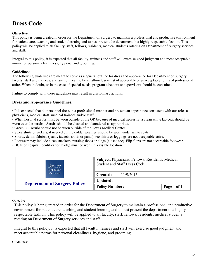# <span id="page-33-0"></span>**Dress Code**

#### **Objective:**

This policy is being created in order for the Department of Surgery to maintain a professional and productive environment for patient care, teaching and student learning and to best present the department in a highly respectable fashion. This policy will be applied to all faculty, staff, fellows, residents, medical students rotating on Department of Surgery services and staff.

Integral to this policy, it is expected that all faculty, trainees and staff will exercise good judgment and meet acceptable norms for personal cleanliness, hygiene, and grooming.

#### **Guidelines:**

The following guidelines are meant to serve as a general outline for dress and appearance for Department of Surgery faculty, staff and trainees, and are not mean to be an all-inclusive list of acceptable or unacceptable forms of professional attire. When in doubt, or in the case of special needs, program directors or supervisors should be consulted.

Failure to comply with these guidelines may result in disciplinary actions.

## <span id="page-33-1"></span>**Dress and Appearance Guidelines**:

• It is expected that all personnel dress in a professional manner and present an appearance consistent with our roles as physicians, medical staff, medical trainees and/or staff.

• When hospital scrubs must be worn outside of the OR because of medical necessity, a clean white lab coat should be worn over the scrubs. Scrubs should be cleaned and laundered as appropriate.

• Green OR scrubs should not be worn outside of the Texas Medical Center.

- Sweatshirts or jackets, if needed during colder weather, should be worn under white coats.
- Shorts, denim fabrics, (jeans, jackets, skirts or pants), tee-shirts or leggings are not acceptable attire.
- Footwear may include clean sneakers, nursing shoes or clogs (closed toe). Flip-flops are not acceptable footwear.
- BCM or hospital identification badge must be worn in a visible location.

| Baylor<br>College of<br>Medicine    | Subject: Physicians, Fellows, Residents, Medical<br><b>Student and Staff Dress Code</b> |             |
|-------------------------------------|-----------------------------------------------------------------------------------------|-------------|
|                                     | 11/9/2015<br><b>Created:</b>                                                            |             |
|                                     | <b>Updated:</b>                                                                         |             |
| <b>Department of Surgery Policy</b> | <b>Policy Number:</b>                                                                   | Page 1 of 1 |

Objective:

This policy is being created in order for the Department of Surgery to maintain a professional and productive environment for patient care, teaching and student learning and to best present the department in a highly respectable fashion. This policy will be applied to all faculty, staff, fellows, residents, medical students rotating on Department of Surgery services and staff.

Integral to this policy, it is expected that all faculty, trainees and staff will exercise good judgment and meet acceptable norms for personal cleanliness, hygiene, and grooming.

Guidelines: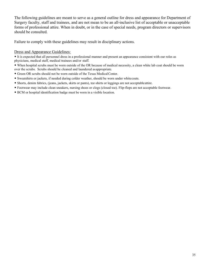The following guidelines are meant to serve as a general outline for dress and appearance for Department of Surgery faculty, staff and trainees, and are not mean to be an all‐inclusive list of acceptable or unacceptable forms of professional attire. When in doubt, or in the case of special needs, program directors or supervisors should be consulted.

Failure to comply with these guidelines may result in disciplinary actions.

#### Dress and Appearance Guidelines:

• It is expected that all personnel dress in a professional manner and present an appearance consistent with our roles as physicians, medical staff, medical trainees and/or staff.

• When hospital scrubs must be worn outside of the OR because of medical necessity, a clean white lab coat should be worn over the scrubs. Scrubs should be cleaned and laundered asappropriate.

- Green OR scrubs should not be worn outside of the Texas MedicalCenter.
- Sweatshirts or jackets, if needed during colder weather, should be worn under whitecoats.
- Shorts, denim fabrics, (jeans, jackets, skirts or pants), tee‐shirts or leggings are not acceptableattire.
- Footwear may include clean sneakers, nursing shoes or clogs (closed toe). Flip‐flops are not acceptable footwear.
- BCM or hospital identification badge must be worn in a visible location.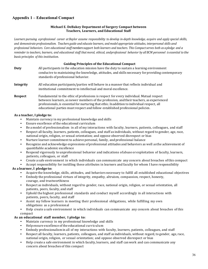## <span id="page-35-0"></span>**Appendix 1 – Educational Compact**

#### **Michael E. DeBakey Department of Surgery Compact between Teachers, Learners, and Educational Staff**

Learners pursuing aprofessional career at Baylor assume responsibility to develop in-depth knowledge, acquire and apply special skills, and demonstrate professionalism. Teachers guide and educate learners, and model appropriate attitudes, interpersonal skills and professional behaviors. Core educational staff members support both learners and teachers. This Compact serves both as apledge and a reminder to teachers, learners, and educational staff that moral, ethical, andprofessional behavior by all BCM personnel is essential to the *basicprinciples of this institution.*

#### **Guiding Principles of the Educational Compact**

| <b>Duty</b>      | All participants in the education mission have the duty to sustain a learning environment<br>conducive to maintaining the knowledge, attitudes, and skills necessary for providing contemporary<br>standards of professional behavior.                                                                                                                                |
|------------------|-----------------------------------------------------------------------------------------------------------------------------------------------------------------------------------------------------------------------------------------------------------------------------------------------------------------------------------------------------------------------|
| <b>Integrity</b> | All education participants/parties will behave in a manner that reflects individual and<br>institutional commitment to intellectual and moral excellence.                                                                                                                                                                                                             |
| Respect          | Fundamental to the ethic of professions is respect for every individual. Mutual respect<br>between learners, as newer members of the profession, and their teachers, as experienced<br>professionals, is essential for nurturing that ethic. In addition to individual respect, all<br>educational parties must respect and follow established professional policies. |

#### **As a teacher, I pledge to:**

- Maintain currency in my professional knowledge and skills
- Ensure excellence ofthe educational curriculum
- Be <sup>a</sup> model of professionalism in all of my interactions with faculty, learners, patients, colleagues, and staff
- Respect all faculty, learners, patients, colleagues, and staff as individuals, without regard to gender, age, race, national origin, religion, or sexual orientation; and oppose observed disrespect or bias
- Nurture learner commitment to achieve personal, family, and professional balance
- Recognize and acknowledge expressions of professional attitudes and behaviors as well asthe achievement of quantifiable academic excellence
- Respond vigorously to unprofessional behavior and indications ofabuse or exploitation of faculty, learners, patients, colleagues, or staff
- Create <sup>a</sup> safe environment in which individuals can communicate any concern about breaches ofthis compact
- Accept responsibility for instilling these attributes in learners and faculty for whom I have responsibility

#### **As a learner,I pledge to:**

- Acquire the knowledge, skills, attitudes, and behaviors necessary to fulfill all established educational objectives
- Embody the professional virtues of integrity, empathy, altruism, compassion, respect, honesty, courage, and trustworthiness
- Respect as individuals, without regard to gender, race, national origin, religion, or sexual orientation, all patients, peers, faculty, and staff
- Uphold the highest professional standards and conduct myself accordingly in all interactions with patients, peers, faculty, and staff
- Assist my fellow learners in meeting their professional obligations, while fulfilling my own obligations as a professional
- Help create <sup>a</sup> safe environment in which individuals can communicate any concern about breaches of this compact

#### **As an educational staff member, I pledge to:**

- Maintain currency in my professional knowledge and skills
- Help ensure excellence ofthe educational curriculum
- Embody professionalism in all of my interactions with faculty, learners, patients, colleagues, and staff
- Respect all faculty, learners, patients, colleagues, and staff as individuals, without regard, to gender, age, race, national origin, religion, or sexual orientation; and oppose observed disrespect or bias
- Help create a safe environment in which faculty, learners, and staff canwork and can communicate any concern about breaches of this compact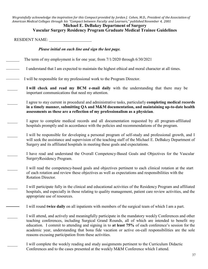Wegratefully acknowledge the inspiration for this Compact provided by Jordan J. Cohen, M.D., President of the Association of *American Medical Colleges through his "Compact between Faculty and Learners," publishedNovember 4, 2001*

## **Michael E. DeBakey Department of Surgery**

**Vascular Surgery Residency Program Graduate Medical Trainee Guidelines**

RESIDENT NAME:

## *Please initial on each line and sign the last page.*

- The term of my employment is for one year, from 7/1/2020 through 6/30/2021
- I understand that I am expected to maintain the highest ethical and moral character at all times.
- I will be responsible for my professional work to the Program Director.
	- **I will check and read my BCM e-mail daily** with the understanding that there may be important communications that need my attention.
	- I agree to stay current in procedural and administrative tasks, particularly **completing medical records in a timely manner, submitting QA and M&M documentation, and maintaining up-to-date health assessments as these are a reflection of my professionalism as a physician**.
	- I agree to complete medical records and all documentation requested by all program-affiliated hospitals promptly and in accordance with the policies and recommendations of the program.
	- I will be responsible for developing a personal program of self-study and professional growth, and I will seek the assistance and supervision of the teaching staff of the Michael E. DeBakey Department of Surgery and its affiliated hospitals in meeting these goals and expectations.
		- I have read and understand the Overall Competency-Based Goals and Objectives for the Vascular SurgeryResidency Program.
		- I will read the competency-based goals and objectives pertinent to each clinical rotation at the start of each rotation and review these objectives as well as expectations and responsibilities with the Rotation Director.
			- I will participate fully in the clinical and educational activities of the Residency Program and affiliated hospitals, and especially in those relating to quality management, patient care review activities, and the appropriate use of resources.
			- I will round **twice daily** on all inpatients with members of the surgical team of which I am a part.
			- I will attend, and actively and meaningfully participate in the mandatory weekly Conferences and other teaching conferences, including Surgical Grand Rounds, all of which are intended to benefit my education. I commit to attending and signing in to **at least 75%** of each conference's session for the academic year, understanding that bona fide vacation or active on-call responsibilities are the sole reasons excusing participation from these activities.
			- I will complete the weekly reading and study assignments pertinent to the Curriculum Didactic Conferences and to the cases presented at the weekly M&M Conference which I attend.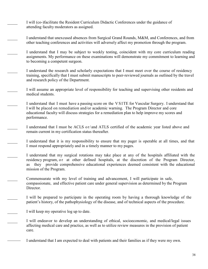I will (co-)facilitate the Resident Curriculum Didactic Conferences under the guidance of attending faculty moderators as assigned.

I understand that unexcused absences from Surgical Grand Rounds, M&M, and Conferences, and from other teaching conferences and activities will adversely affect my promotion through the program.

I understand that I may be subject to weekly testing, coincident with my core curriculum reading assignments. My performance on these examinations will demonstrate my commitment to learning and to becoming a competent surgeon.

I understand the research and scholarly expectations that I must meet over the course of residency training, specifically that I must submit manuscripts to peer-reviewed journals as outlined by the travel and research policy of the Department.

I will assume an appropriate level of responsibility for teaching and supervising other residents and medical students.

I understand that I must have a passing score on the VSITE for Vascular Surgery. I understand that I will be placed on remediation and/or academic warning. The Program Director and core educational faculty will discuss strategies for a remediation plan to help improve my scores and performance.

I understand that I must be ACLS or/ and ATLS certified of the academic year listed above and remain current in my certification status thereafter.

I understand that it is my responsibility to ensure that my pager is operable at all times, and that I must respond appropriately and in a timely manner to my pages.

I understand that my surgical rotations may take place at any of the hospitals affiliated with the residency program, or at other defined hospitals, at the discretion of the Program Director, as they provide comprehensive educational experiences deemed consistent with the educational mission of the Program.

Commensurate with my level of training and advancement, I will participate in safe, compassionate, and effective patient care under general supervision as determined by the Program Director.

I will be prepared to participate in the operating room by having a thorough knowledge of the patient's history, of the pathophysiology of the disease, and of technical aspects of the procedure.

I will keep my operative log up to date.

I will endeavor to develop an understanding of ethical, socioeconomic, and medical/legal issues affecting medical care and practice, as well as to utilize review measures in the provision of patient care.

I understand that I am expected to deal with patients and their families as if they were my own.